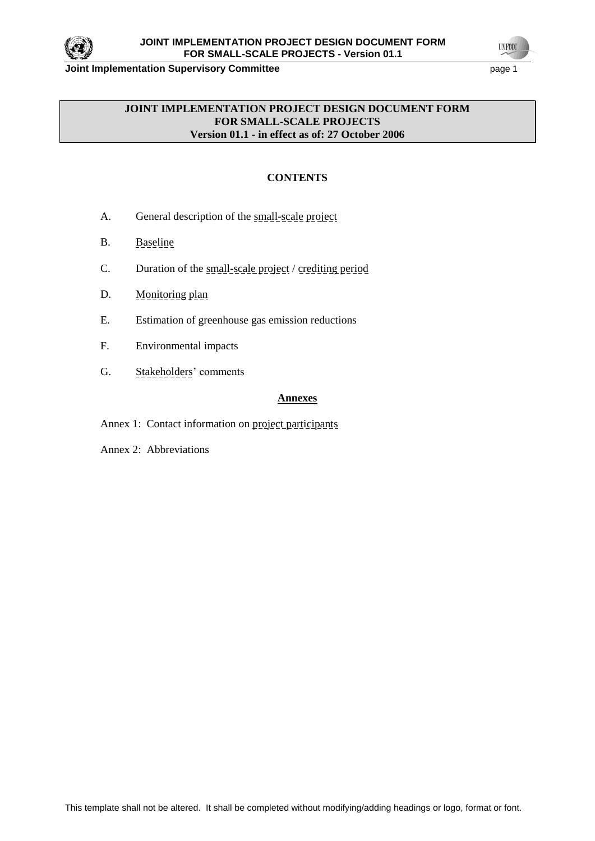

**Joint Implementation Supervisory Committee Access 2018 2019 12:33 Page 1** 

**UNFOCO** 

## **JOINT IMPLEMENTATION PROJECT DESIGN DOCUMENT FORM FOR SMALL-SCALE PROJECTS Version 01.1 - in effect as of: 27 October 2006**

# **CONTENTS**

- A. General description of the small-scale project
- B. Baseline
- C. Duration of the small-scale project / crediting period
- D. Monitoring plan
- E. Estimation of greenhouse gas emission reductions
- F. Environmental impacts
- G. Stakeholders' comments

#### **Annexes**

- Annex 1: Contact information on project participants
- Annex 2: Abbreviations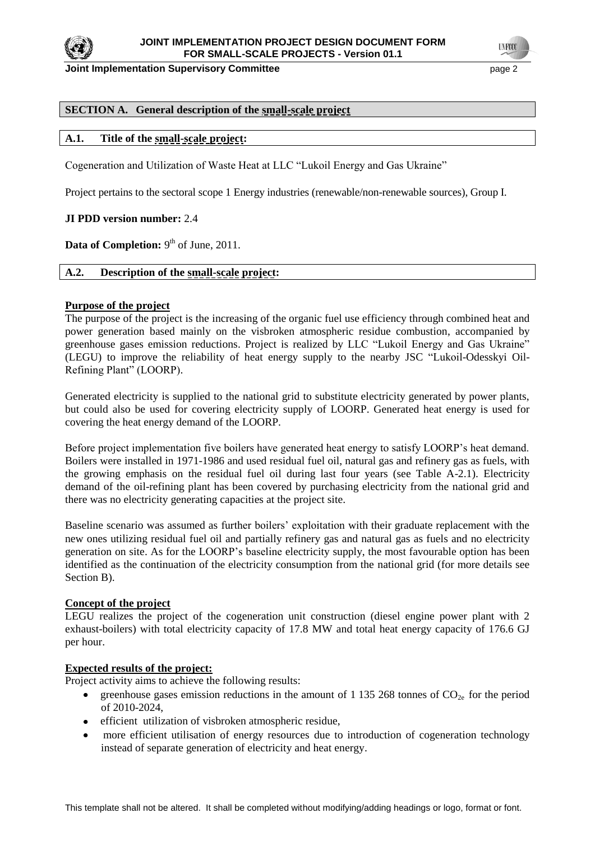

**Joint Implementation Supervisory Committee Access 2008 2018 10:00 20:00 20:00 20:00 20:00 20:00 20:00 20:00 20:00 20:00 20:00 20:00 20:00 20:00 20:00 20:00 20:00 20:00 20:00 20:00 20:00 20:00 20:00 20:00 20:00 20:00 20:00** 

**TYFOO** 

### **SECTION A. General description of the small-scale project**

### **A.1. Title of the small-scale project:**

Cogeneration and Utilization of Waste Heat at LLC "Lukoil Energy and Gas Ukraine"

Project pertains to the sectoral scope 1 Energy industries (renewable/non-renewable sources), Group I.

#### **JI PDD version number:** 2.4

**Data of Completion:** 9<sup>th</sup> of June, 2011.

### **A.2. Description of the small-scale project:**

#### **Purpose of the project**

The purpose of the project is the increasing of the organic fuel use efficiency through combined heat and power generation based mainly on the visbroken atmospheric residue combustion, accompanied by greenhouse gases emission reductions. Project is realized by LLC "Lukoil Energy and Gas Ukraine" (LEGU) to improve the reliability of heat energy supply to the nearby JSC "Lukoil-Odesskyi Oil-Refining Plant" (LOORP).

Generated electricity is supplied to the national grid to substitute electricity generated by power plants, but could also be used for covering electricity supply of LOORP. Generated heat energy is used for covering the heat energy demand of the LOORP.

Before project implementation five boilers have generated heat energy to satisfy LOORP's heat demand. Boilers were installed in 1971-1986 and used residual fuel oil, natural gas and refinery gas as fuels, with the growing emphasis on the residual fuel oil during last four years (see Table A-2.1). Electricity demand of the oil-refining plant has been covered by purchasing electricity from the national grid and there was no electricity generating capacities at the project site.

Baseline scenario was assumed as further boilers' exploitation with their graduate replacement with the new ones utilizing residual fuel oil and partially refinery gas and natural gas as fuels and no electricity generation on site. As for the LOORP's baseline electricity supply, the most favourable option has been identified as the continuation of the electricity consumption from the national grid (for more details see Section B).

#### **Concept of the project**

LEGU realizes the project of the cogeneration unit construction (diesel engine power plant with 2 exhaust-boilers) with total electricity capacity of 17.8 MW and total heat energy capacity of 176.6 GJ per hour.

#### **Expected results of the project:**

Project activity aims to achieve the following results:

- greenhouse gases emission reductions in the amount of 1 135 268 tonnes of  $CO<sub>2</sub>$  for the period  $\bullet$  . of 2010-2024,
- efficient utilization of visbroken atmospheric residue,
- more efficient utilisation of energy resources due to introduction of cogeneration technology  $\bullet$ instead of separate generation of electricity and heat energy.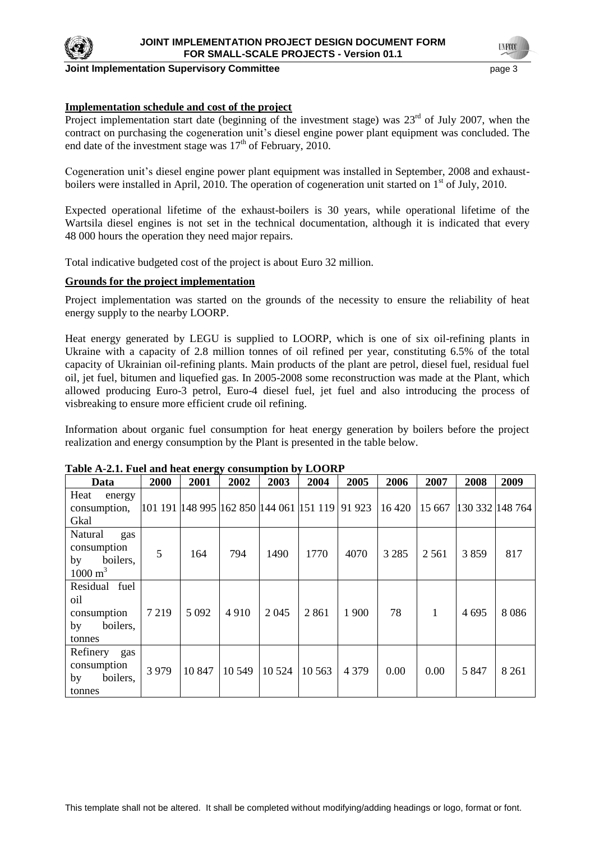

#### **Joint Implementation Supervisory Committee** page 3

## **Implementation schedule and cost of the project**

Project implementation start date (beginning of the investment stage) was  $23<sup>rd</sup>$  of July 2007, when the contract on purchasing the cogeneration unit's diesel engine power plant equipment was concluded. The end date of the investment stage was  $17<sup>th</sup>$  of February, 2010.

Cogeneration unit's diesel engine power plant equipment was installed in September, 2008 and exhaustboilers were installed in April, 2010. The operation of cogeneration unit started on 1<sup>st</sup> of July, 2010.

Expected operational lifetime of the exhaust-boilers is 30 years, while operational lifetime of the Wartsila diesel engines is not set in the technical documentation, although it is indicated that every 48 000 hours the operation they need major repairs.

Total indicative budgeted cost of the project is about Euro 32 million.

### **Grounds for the project implementation**

Project implementation was started on the grounds of the necessity to ensure the reliability of heat energy supply to the nearby LOORP.

Heat energy generated by LEGU is supplied to LOORP, which is one of six oil-refining plants in Ukraine with a capacity of 2.8 million tonnes of oil refined per year, constituting 6.5% of the total capacity of Ukrainian oil-refining plants. Main products of the plant are petrol, diesel fuel, residual fuel oil, jet fuel, bitumen and liquefied gas. In 2005-2008 some reconstruction was made at the Plant, which allowed producing Euro-3 petrol, Euro-4 diesel fuel, jet fuel and also introducing the process of visbreaking to ensure more efficient crude oil refining.

Information about organic fuel consumption for heat energy generation by boilers before the project realization and energy consumption by the Plant is presented in the table below.

| Data                                                                  | 2000    | 2001                                                 | 2002   | 2003    | 2004    | 2005    | 2006    | 2007    | 2008            | 2009    |
|-----------------------------------------------------------------------|---------|------------------------------------------------------|--------|---------|---------|---------|---------|---------|-----------------|---------|
| Heat<br>energy<br>consumption,<br>Gkal                                |         | 101 191  148 995  162 850  144 061  151 119   91 923 |        |         |         |         | 16 4 20 | 15 667  | 130 332 148 764 |         |
| Natural<br>gas<br>consumption<br>boilers,<br>by<br>$1000 \text{ m}^3$ | 5       | 164                                                  | 794    | 1490    | 1770    | 4070    | 3 2 8 5 | 2 5 6 1 | 3859            | 817     |
| Residual fuel<br>oil<br>consumption<br>boilers,<br>by<br>tonnes       | 7 2 1 9 | 5 0 9 2                                              | 4910   | 2 0 4 5 | 2861    | 1 900   | 78      | 1       | 4 6 9 5         | 8086    |
| Refinery<br>gas<br>consumption<br>boilers,<br>by<br>tonnes            | 3979    | 10847                                                | 10 549 | 10 5 24 | 10 5 63 | 4 3 7 9 | 0.00    | 0.00    | 5 8 4 7         | 8 2 6 1 |

#### **Table A-2.1. Fuel and heat energy consumption by LOORP**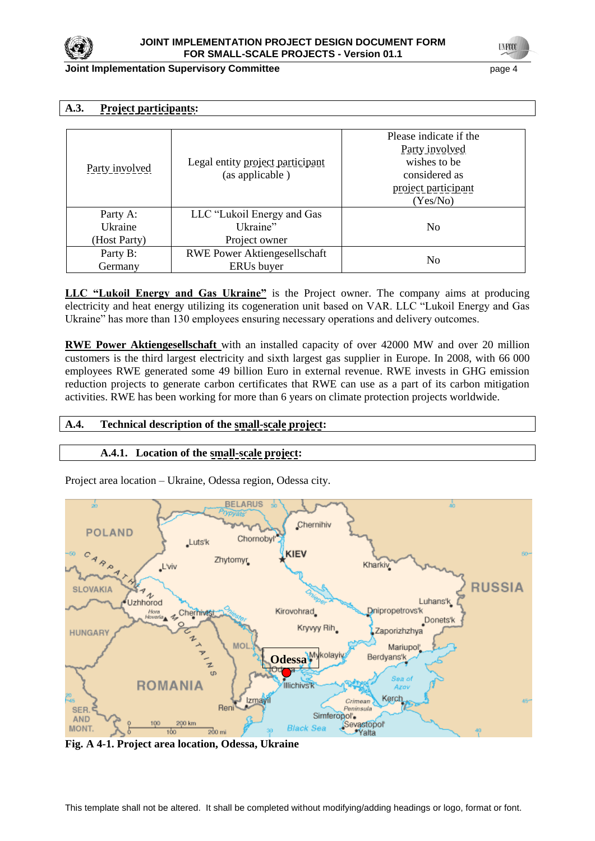

### **Joint Implementation Supervisory Committee Figure 1 and 2 and 2 and 2 and 2 and 2 and 2 and 2 and 2 and 2 and 2 and 2 and 2 and 2 and 2 and 2 and 2 and 2 and 2 and 2 and 2 and 2 and 2 and 2 and 2 and 2 and 2 and 2 and**

## **A.3. Project participants:**

| Party involved      | Legal entity project participant<br>(as applicable) | Please indicate if the<br>Party involved<br>wishes to be<br>considered as<br>project participant<br>(Yes/No) |
|---------------------|-----------------------------------------------------|--------------------------------------------------------------------------------------------------------------|
| Party A:<br>Ukraine | LLC "Lukoil Energy and Gas<br>Ukraine"              | N <sub>0</sub>                                                                                               |
| (Host Party)        | Project owner                                       |                                                                                                              |
| Party B:<br>Germany | <b>RWE Power Aktiongesellschaft</b><br>ERUs buyer   | No                                                                                                           |

**LLC "Lukoil Energy and Gas Ukraine"** is the Project owner. The company aims at producing electricity and heat energy utilizing its cogeneration unit based on VAR. LLC "Lukoil Energy and Gas Ukraine" has more than 130 employees ensuring necessary operations and delivery outcomes.

**RWE Power Aktiengesellschaft** with an installed capacity of over 42000 MW and over 20 million customers is the third largest electricity and sixth largest gas supplier in Europe. In 2008, with 66 000 employees RWE generated some 49 billion Euro in external revenue. RWE invests in GHG emission reduction projects to generate carbon certificates that RWE can use as a part of its carbon mitigation activities. RWE has been working for more than 6 years on climate protection projects worldwide.

## **A.4. Technical description of the small-scale project:**

# **A.4.1. Location of the small-scale project:**

Project area location – Ukraine, Odessa region, Odessa city.



**Fig. A 4-1. Project area location, Odessa, Ukraine**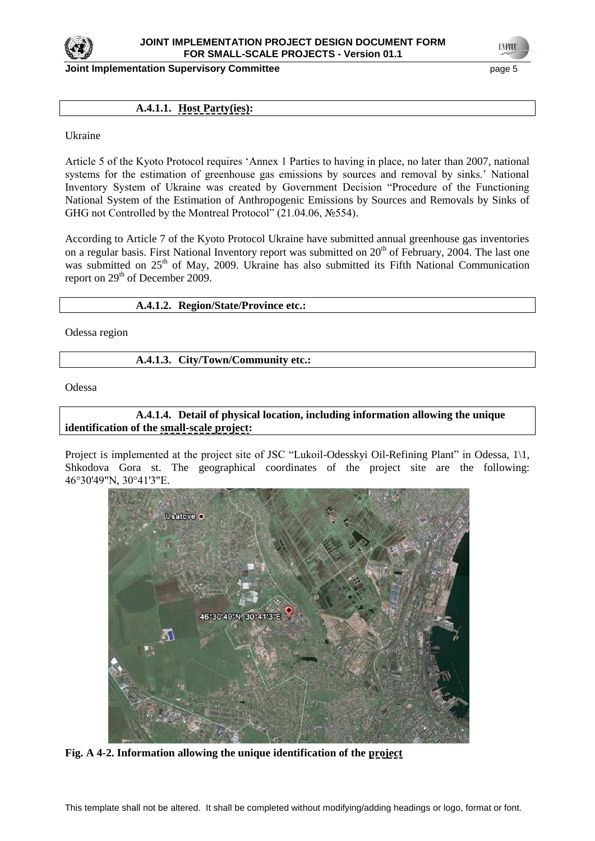

**Joint Implementation Supervisory Committee Access 2008 12 and 2009 12 and 2009 12 and 2009 13 and 2009 13 and 3** 

**UNFOCO** 

## **A.4.1.1. Host Party(ies):**

Ukraine

Article 5 of the Kyoto Protocol requires ‗Annex 1 Parties to having in place, no later than 2007, national systems for the estimation of greenhouse gas emissions by sources and removal by sinks.' National Inventory System of Ukraine was created by Government Decision "Procedure of the Functioning National System of the Estimation of Anthropogenic Emissions by Sources and Removals by Sinks of GHG not Controlled by the Montreal Protocol" (21.04.06, №554).

According to Article 7 of the Kyoto Protocol Ukraine have submitted annual greenhouse gas inventories on a regular basis. First National Inventory report was submitted on  $20<sup>th</sup>$  of February, 2004. The last one was submitted on 25<sup>th</sup> of May, 2009. Ukraine has also submitted its Fifth National Communication report on 29<sup>th</sup> of December 2009.

### **A.4.1.2. Region/State/Province etc.:**

Odessa region

### **A.4.1.3. City/Town/Community etc.:**

Odessa

## **A.4.1.4. Detail of physical location, including information allowing the unique identification of the small-scale project:**

Project is implemented at the project site of JSC "Lukoil-Odesskyi Oil-Refining Plant" in Odessa, 1\1, Shkodova Gora st. The geographical coordinates of the project site are the following: 46°30'49"N, 30°41'3"E.



**Fig. A 4-2. Information allowing the unique identification of the project**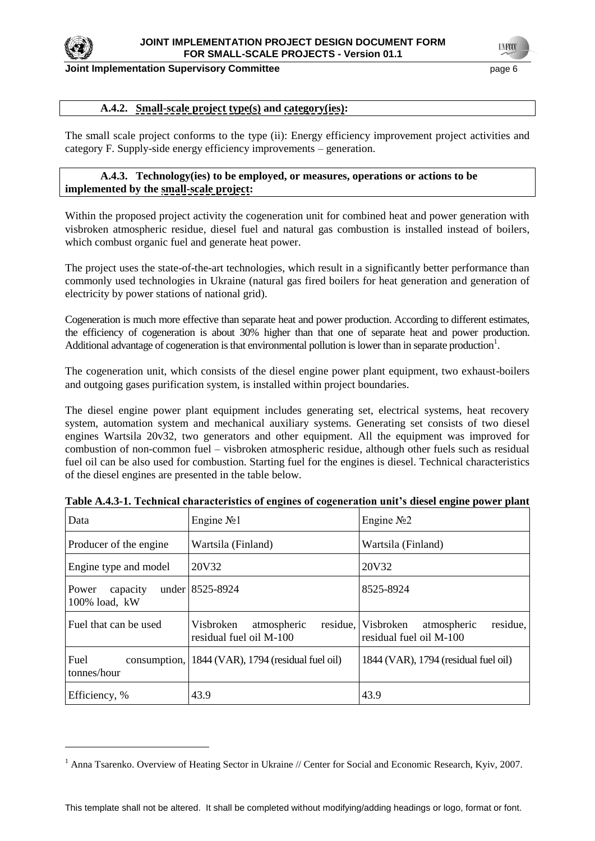

#### **Joint Implementation Supervisory Committee** page 6

## **A.4.2. Small-scale project type(s) and category(ies):**

The small scale project conforms to the type (ii): Energy efficiency improvement project activities and category F. Supply-side energy efficiency improvements – generation.

## **A.4.3. Technology(ies) to be employed, or measures, operations or actions to be implemented by the small-scale project:**

Within the proposed project activity the cogeneration unit for combined heat and power generation with visbroken atmospheric residue, diesel fuel and natural gas combustion is installed instead of boilers, which combust organic fuel and generate heat power.

The project uses the state-of-the-art technologies, which result in a significantly better performance than commonly used technologies in Ukraine (natural gas fired boilers for heat generation and generation of electricity by power stations of national grid).

Cogeneration is much more effective than separate heat and power production. According to different estimates, the efficiency of cogeneration is about 30% higher than that one of separate heat and power production. Additional advantage of cogeneration is that environmental pollution is lower than in separate production<sup>1</sup>.

The cogeneration unit, which consists of the diesel engine power plant equipment, two exhaust-boilers and outgoing gases purification system, is installed within project boundaries.

The diesel engine power plant equipment includes generating set, electrical systems, heat recovery system, automation system and mechanical auxiliary systems. Generating set consists of two diesel engines Wartsila 20v32, two generators and other equipment. All the equipment was improved for combustion of non-common fuel – visbroken atmospheric residue, although other fuels such as residual fuel oil can be also used for combustion. Starting fuel for the engines is diesel. Technical characteristics of the diesel engines are presented in the table below.

| Data                                  | Engine $N21$                                        | Engine $N2$                                                              |
|---------------------------------------|-----------------------------------------------------|--------------------------------------------------------------------------|
| Producer of the engine                | Wartsila (Finland)                                  | Wartsila (Finland)                                                       |
| Engine type and model                 | 20V32                                               | 20V32                                                                    |
| capacity<br>Power<br>$100\%$ load, kW | under 8525-8924                                     | 8525-8924                                                                |
| Fuel that can be used                 | Visbroken<br>atmospheric<br>residual fuel oil M-100 | residue,<br>residue, Visbroken<br>atmospheric<br>residual fuel oil M-100 |
| Fuel<br>tonnes/hour                   | consumption, 1844 (VAR), 1794 (residual fuel oil)   | 1844 (VAR), 1794 (residual fuel oil)                                     |
| Efficiency, %                         | 43.9                                                | 43.9                                                                     |

**Table A.4.3-1. Technical characteristics of engines of cogeneration unit's diesel engine power plant**

<sup>&</sup>lt;sup>1</sup> Anna Tsarenko. Overview of Heating Sector in Ukraine // Center for Social and Economic Research, Kyiv, 2007.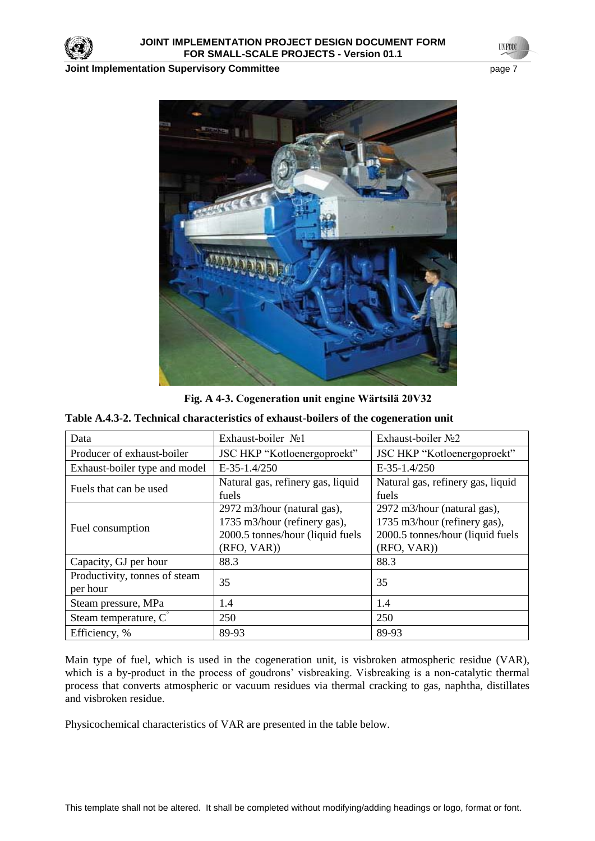

**Joint Implementation Supervisory Committee** *page 7* **page 7** 

**UNFOCO** 



**Fig. A 4-3. Cogeneration unit engine Wärtsilä 20V32**

| Table A.4.3-2. Technical characteristics of exhaust-boilers of the cogeneration unit |  |  |  |
|--------------------------------------------------------------------------------------|--|--|--|
|--------------------------------------------------------------------------------------|--|--|--|

| Data                                      | Exhaust-boiler No1                                                                                            | Exhaust-boiler No2                                                                                            |  |
|-------------------------------------------|---------------------------------------------------------------------------------------------------------------|---------------------------------------------------------------------------------------------------------------|--|
| Producer of exhaust-boiler                | JSC HKP "Kotloenergoproekt"                                                                                   | JSC HKP "Kotloenergoproekt"                                                                                   |  |
| Exhaust-boiler type and model             | $E-35-1.4/250$                                                                                                | $E-35-1.4/250$                                                                                                |  |
| Fuels that can be used                    | Natural gas, refinery gas, liquid<br>fuels                                                                    | Natural gas, refinery gas, liquid<br>fuels                                                                    |  |
| Fuel consumption                          | 2972 m3/hour (natural gas),<br>1735 m3/hour (refinery gas),<br>2000.5 tonnes/hour (liquid fuels<br>(RFO, VAR) | 2972 m3/hour (natural gas),<br>1735 m3/hour (refinery gas),<br>2000.5 tonnes/hour (liquid fuels<br>(RFO, VAR) |  |
| Capacity, GJ per hour                     | 88.3                                                                                                          | 88.3                                                                                                          |  |
| Productivity, tonnes of steam<br>per hour | 35                                                                                                            | 35                                                                                                            |  |
| Steam pressure, MPa                       | 1.4                                                                                                           | 1.4                                                                                                           |  |
| Steam temperature, C                      | 250                                                                                                           | 250                                                                                                           |  |
| Efficiency, %                             | 89-93                                                                                                         | 89-93                                                                                                         |  |

Main type of fuel, which is used in the cogeneration unit, is visbroken atmospheric residue (VAR), which is a by-product in the process of goudrons' visbreaking. Visbreaking is a non-catalytic thermal process that converts atmospheric or vacuum residues via thermal cracking to gas, naphtha, distillates and visbroken residue.

Physicochemical characteristics of VAR are presented in the table below.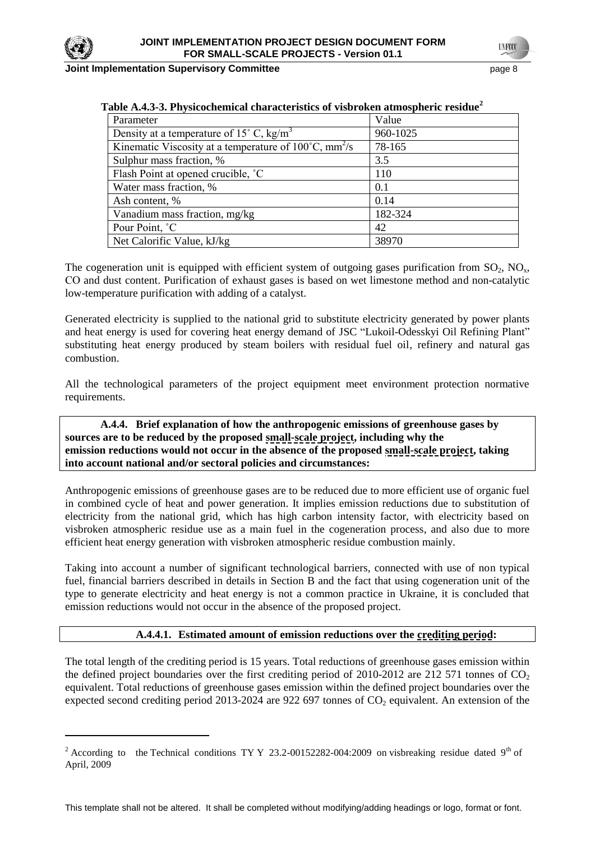

 $\overline{a}$ 

#### **Joint Implementation Supervisory Committee** page 8

**TNFOT** 

| able in no or I hyprochemical characteristics of visor onen atmospheric residue |          |
|---------------------------------------------------------------------------------|----------|
| Parameter                                                                       | Value    |
| Density at a temperature of 15 $^{\circ}$ C, kg/m <sup>3</sup>                  | 960-1025 |
| Kinematic Viscosity at a temperature of $100^{\circ}$ C, mm <sup>2</sup> /s     | 78-165   |
| Sulphur mass fraction, %                                                        | 3.5      |
| Flash Point at opened crucible, °C                                              | 110      |
| Water mass fraction, %                                                          | 0.1      |
| Ash content, %                                                                  | 0.14     |
| Vanadium mass fraction, mg/kg                                                   | 182-324  |
| Pour Point, °C                                                                  | 42       |
| Net Calorific Value, kJ/kg                                                      | 38970    |

The cogeneration unit is equipped with efficient system of outgoing gases purification from  $SO_2$ ,  $NO<sub>x</sub>$ , СО and dust content. Purification of exhaust gases is based on wet limestone method and non-catalytic low-temperature purification with adding of a catalyst.

Generated electricity is supplied to the national grid to substitute electricity generated by power plants and heat energy is used for covering heat energy demand of JSC "Lukoil-Odesskyi Oil Refining Plant" substituting heat energy produced by steam boilers with residual fuel oil, refinery and natural gas combustion.

All the technological parameters of the project equipment meet environment protection normative requirements.

**A.4.4. Brief explanation of how the anthropogenic emissions of greenhouse gases by sources are to be reduced by the proposed small-scale project, including why the emission reductions would not occur in the absence of the proposed small-scale project, taking into account national and/or sectoral policies and circumstances:**

Anthropogenic emissions of greenhouse gases are to be reduced due to more efficient use of organic fuel in combined cycle of heat and power generation. It implies emission reductions due to substitution of electricity from the national grid, which has high carbon intensity factor, with electricity based on visbroken atmospheric residue use as a main fuel in the cogeneration process, and also due to more efficient heat energy generation with visbroken atmospheric residue combustion mainly.

Taking into account a number of significant technological barriers, connected with use of non typical fuel, financial barriers described in details in Section B and the fact that using cogeneration unit of the type to generate electricity and heat energy is not a common practice in Ukraine, it is concluded that emission reductions would not occur in the absence of the proposed project.

## **A.4.4.1. Estimated amount of emission reductions over the crediting period:**

The total length of the crediting period is 15 years. Total reductions of greenhouse gases emission within the defined project boundaries over the first crediting period of 2010-2012 are 212 571 tonnes of  $CO<sub>2</sub>$ equivalent. Total reductions of greenhouse gases emission within the defined project boundaries over the expected second crediting period 2013-2024 are 922 697 tonnes of  $CO<sub>2</sub>$  equivalent. An extension of the

<sup>&</sup>lt;sup>2</sup> According to the Technical conditions TY Y 23.2-00152282-004:2009 on visbreaking residue dated 9<sup>th</sup> of April, 2009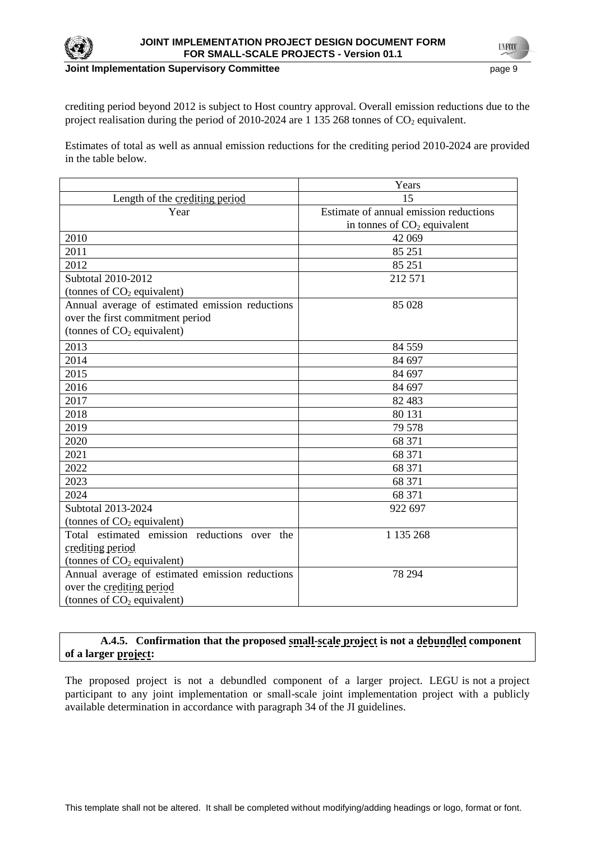

crediting period beyond 2012 is subject to Host country approval. Overall emission reductions due to the project realisation during the period of  $2010$ -2024 are 1 135 268 tonnes of  $CO<sub>2</sub>$  equivalent.

Estimates of total as well as annual emission reductions for the crediting period 2010-2024 are provided in the table below.

|                                                 | Years                                  |
|-------------------------------------------------|----------------------------------------|
| Length of the crediting period                  | 15                                     |
| Year                                            | Estimate of annual emission reductions |
|                                                 | in tonnes of $CO2$ equivalent          |
| 2010                                            | 42 069                                 |
| 2011                                            | 85 251                                 |
| 2012                                            | 85 251                                 |
| Subtotal 2010-2012                              | 212 571                                |
| (tonnes of $CO2$ equivalent)                    |                                        |
| Annual average of estimated emission reductions | 85 028                                 |
| over the first commitment period                |                                        |
| (tonnes of $CO2$ equivalent)                    |                                        |
| 2013                                            | 84 5 5 9                               |
| 2014                                            | 84 697                                 |
| 2015                                            | 84 697                                 |
| 2016                                            | 84 697                                 |
| 2017                                            | 82 4 83                                |
| 2018                                            | 80 131                                 |
| 2019                                            | 79 578                                 |
| 2020                                            | 68 371                                 |
| 2021                                            | 68 371                                 |
| 2022                                            | 68 371                                 |
| 2023                                            | 68 371                                 |
| 2024                                            | 68 371                                 |
| Subtotal 2013-2024                              | 922 697                                |
| (tonnes of $CO2$ equivalent)                    |                                        |
| Total estimated emission reductions over the    | 1 135 268                              |
| crediting period                                |                                        |
| (tonnes of $CO2$ equivalent)                    |                                        |
| Annual average of estimated emission reductions | 78 294                                 |
| over the crediting period                       |                                        |
| (tonnes of $CO2$ equivalent)                    |                                        |

# **A.4.5. Confirmation that the proposed small-scale project is not a debundled component of a larger project:**

The proposed project is not a debundled component of a larger project. LEGU is not a project participant to any joint implementation or small-scale joint implementation project with a publicly available determination in accordance with paragraph 34 of the JI guidelines.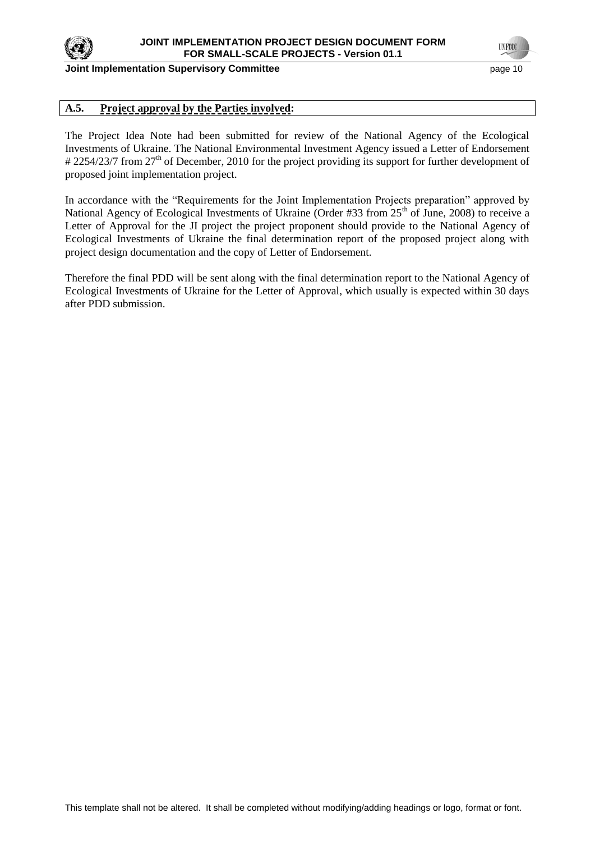

#### **Joint Implementation Supervisory Committee According to the Committee of the Committee According to the Committee According to the Committee According to the Page 10**

**TNECC** 

## **A.5. Project approval by the Parties involved:**

The Project Idea Note had been submitted for review of the National Agency of the Ecological Investments of Ukraine. The National Environmental Investment Agency issued a Letter of Endorsement # 2254/23/7 from 27<sup>th</sup> of December, 2010 for the project providing its support for further development of proposed joint implementation project.

In accordance with the "Requirements for the Joint Implementation Projects preparation" approved by National Agency of Ecological Investments of Ukraine (Order #33 from 25<sup>th</sup> of June, 2008) to receive a Letter of Approval for the JI project the project proponent should provide to the National Agency of Ecological Investments of Ukraine the final determination report of the proposed project along with project design documentation and the copy of Letter of Endorsement.

Therefore the final PDD will be sent along with the final determination report to the National Agency of Ecological Investments of Ukraine for the Letter of Approval, which usually is expected within 30 days after PDD submission.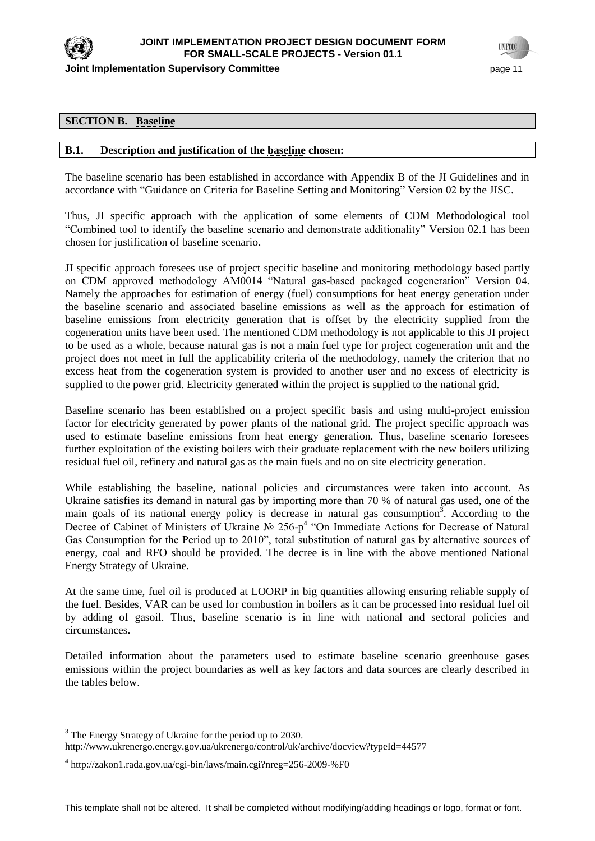

**Joint Implementation Supervisory Committee According the Common Committee According to the Constantine Committee According to the Constantine Committee According to the Constantine Committee According to the Constantine C** 

**TNECC** 

### **SECTION B. Baseline**

#### **B.1. Description and justification of the baseline chosen:**

The baseline scenario has been established in accordance with Appendix B of the JI Guidelines and in accordance with "Guidance on Criteria for Baseline Setting and Monitoring" Version 02 by the JISC.

Thus, JI specific approach with the application of some elements of CDM Methodological tool ―Combined tool to identify the baseline scenario and demonstrate additionality‖ Version 02.1 has been chosen for justification of baseline scenario.

JI specific approach foresees use of project specific baseline and monitoring methodology based partly on CDM approved methodology AM0014 "Natural gas-based packaged cogeneration" Version 04. Namely the approaches for estimation of energy (fuel) consumptions for heat energy generation under the baseline scenario and associated baseline emissions as well as the approach for estimation of baseline emissions from electricity generation that is offset by the electricity supplied from the cogeneration units have been used. The mentioned CDM methodology is not applicable to this JI project to be used as a whole, because natural gas is not a main fuel type for project cogeneration unit and the project does not meet in full the applicability criteria of the methodology, namely the criterion that no excess heat from the cogeneration system is provided to another user and no excess of electricity is supplied to the power grid. Electricity generated within the project is supplied to the national grid.

Baseline scenario has been established on a project specific basis and using multi-project emission factor for electricity generated by power plants of the national grid. The project specific approach was used to estimate baseline emissions from heat energy generation. Thus, baseline scenario foresees further exploitation of the existing boilers with their graduate replacement with the new boilers utilizing residual fuel oil, refinery and natural gas as the main fuels and no on site electricity generation.

While establishing the baseline, national policies and circumstances were taken into account. As Ukraine satisfies its demand in natural gas by importing more than 70 % of natural gas used, one of the main goals of its national energy policy is decrease in natural gas consumption<sup>3</sup>. According to the Decree of Cabinet of Ministers of Ukraine Nº 256-p<sup>4</sup> "On Immediate Actions for Decrease of Natural Gas Consumption for the Period up to 2010", total substitution of natural gas by alternative sources of energy, coal and RFO should be provided. The decree is in line with the above mentioned National Energy Strategy of Ukraine.

At the same time, fuel oil is produced at LOORP in big quantities allowing ensuring reliable supply of the fuel. Besides, VAR can be used for combustion in boilers as it can be processed into residual fuel oil by adding of gasoil. Thus, baseline scenario is in line with national and sectoral policies and circumstances.

Detailed information about the parameters used to estimate baseline scenario greenhouse gases emissions within the project boundaries as well as key factors and data sources are clearly described in the tables below.

 $\overline{a}$ 

<sup>&</sup>lt;sup>3</sup> The Energy Strategy of Ukraine for the period up to 2030.

http://www.ukrenergo.energy.gov.ua/ukrenergo/control/uk/archive/docview?typeId=44577

<sup>4</sup> http://zakon1.rada.gov.ua/cgi-bin/laws/main.cgi?nreg=256-2009-%F0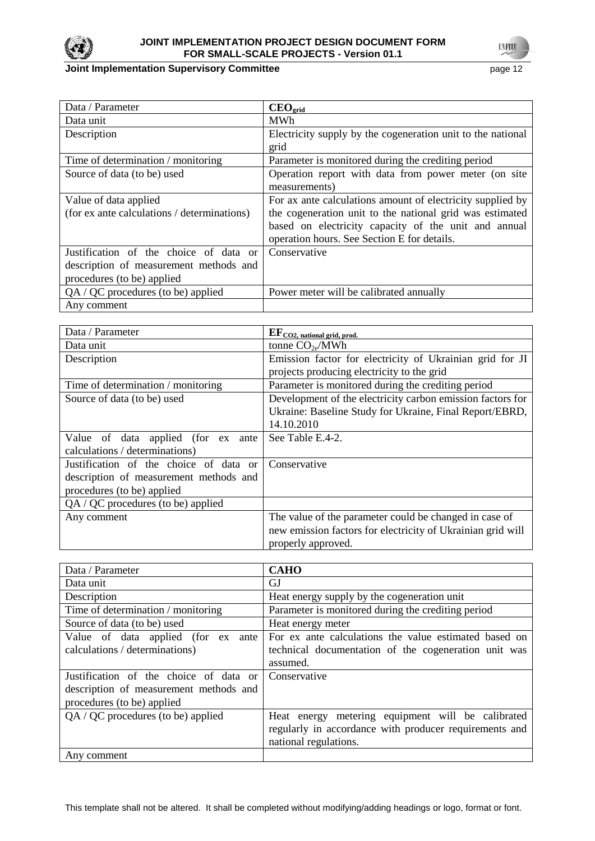

## **Joint Implementation Supervisory Committee**

| page |  |
|------|--|
|------|--|

| Data / Parameter                            | $\mathbf{CEO}_{\text{grid}}$                                |
|---------------------------------------------|-------------------------------------------------------------|
| Data unit                                   | <b>MWh</b>                                                  |
| Description                                 | Electricity supply by the cogeneration unit to the national |
|                                             | grid                                                        |
| Time of determination / monitoring          | Parameter is monitored during the crediting period          |
| Source of data (to be) used                 | Operation report with data from power meter (on site        |
|                                             | measurements)                                               |
| Value of data applied                       | For ax ante calculations amount of electricity supplied by  |
| (for ex ante calculations / determinations) | the cogeneration unit to the national grid was estimated    |
|                                             | based on electricity capacity of the unit and annual        |
|                                             | operation hours. See Section E for details.                 |
| Justification of the choice of data or      | Conservative                                                |
| description of measurement methods and      |                                                             |
| procedures (to be) applied                  |                                                             |
| $QA / QC$ procedures (to be) applied        | Power meter will be calibrated annually                     |
| Any comment                                 |                                                             |

| Data / Parameter                       | $EF_{CO2, \, \text{national grid, prod.}}$                  |
|----------------------------------------|-------------------------------------------------------------|
| Data unit                              | tonne $CO2e/MWh$                                            |
| Description                            | Emission factor for electricity of Ukrainian grid for JI    |
|                                        | projects producing electricity to the grid                  |
| Time of determination / monitoring     | Parameter is monitored during the crediting period          |
| Source of data (to be) used            | Development of the electricity carbon emission factors for  |
|                                        | Ukraine: Baseline Study for Ukraine, Final Report/EBRD,     |
|                                        | 14.10.2010                                                  |
| Value of data applied (for ex ante     | See Table E.4-2.                                            |
| calculations / determinations)         |                                                             |
| Justification of the choice of data or | Conservative                                                |
| description of measurement methods and |                                                             |
| procedures (to be) applied             |                                                             |
| $QA / QC$ procedures (to be) applied   |                                                             |
| Any comment                            | The value of the parameter could be changed in case of      |
|                                        | new emission factors for electricity of Ukrainian grid will |
|                                        | properly approved.                                          |

| Data / Parameter                       | <b>CAHO</b>                                            |  |
|----------------------------------------|--------------------------------------------------------|--|
| Data unit                              | GJ                                                     |  |
| Description                            | Heat energy supply by the cogeneration unit            |  |
| Time of determination / monitoring     | Parameter is monitored during the crediting period     |  |
| Source of data (to be) used            | Heat energy meter                                      |  |
| Value of data applied (for ex<br>ante  | For ex ante calculations the value estimated based on  |  |
| calculations / determinations)         | technical documentation of the cogeneration unit was   |  |
|                                        | assumed.                                               |  |
| Justification of the choice of data or | Conservative                                           |  |
| description of measurement methods and |                                                        |  |
| procedures (to be) applied             |                                                        |  |
| $QA / QC$ procedures (to be) applied   | Heat energy metering equipment will be calibrated      |  |
|                                        | regularly in accordance with producer requirements and |  |
|                                        | national regulations.                                  |  |
| Any comment                            |                                                        |  |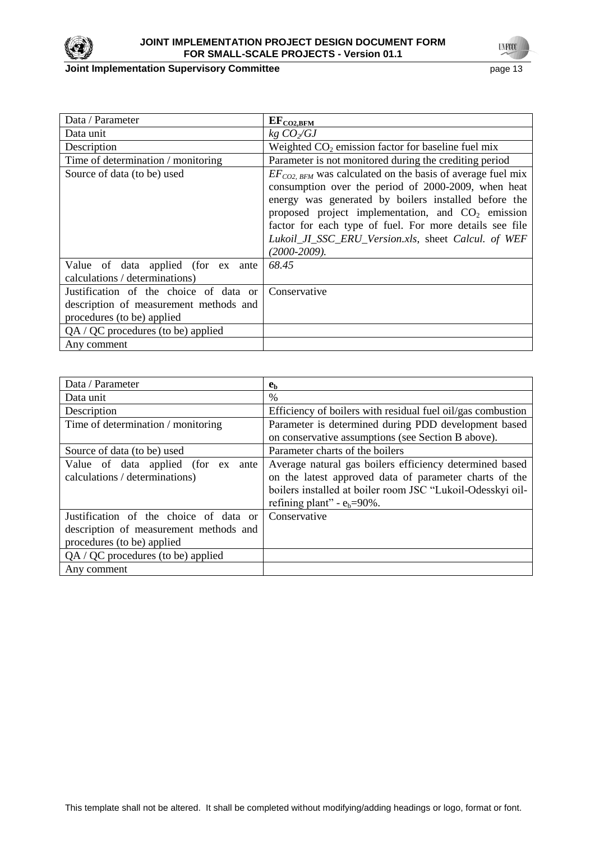

## **JOINT IMPLEMENTATION PROJECT DESIGN DOCUMENT FORM FOR SMALL-SCALE PROJECTS - Version 01.1**

## **Joint Implementation Supervisory Committee** page 13

**UNFOCO** 

| Data / Parameter                                                                                               | $EF_{CO2,BFM}$                                                                                                                                                                                                                                                                                                                                                               |
|----------------------------------------------------------------------------------------------------------------|------------------------------------------------------------------------------------------------------------------------------------------------------------------------------------------------------------------------------------------------------------------------------------------------------------------------------------------------------------------------------|
| Data unit                                                                                                      | $kg$ $CO_2/GJ$                                                                                                                                                                                                                                                                                                                                                               |
| Description                                                                                                    | Weighted $CO2$ emission factor for baseline fuel mix                                                                                                                                                                                                                                                                                                                         |
| Time of determination / monitoring                                                                             | Parameter is not monitored during the crediting period                                                                                                                                                                                                                                                                                                                       |
| Source of data (to be) used                                                                                    | $EF_{CO2. BHM}$ was calculated on the basis of average fuel mix<br>consumption over the period of 2000-2009, when heat<br>energy was generated by boilers installed before the<br>proposed project implementation, and $CO2$ emission<br>factor for each type of fuel. For more details see file<br>Lukoil_JI_SSC_ERU_Version.xls, sheet Calcul. of WEF<br>$(2000 - 2009)$ . |
| Value of data applied (for ex ante<br>calculations / determinations)                                           | 68.45                                                                                                                                                                                                                                                                                                                                                                        |
| Justification of the choice of data or<br>description of measurement methods and<br>procedures (to be) applied | Conservative                                                                                                                                                                                                                                                                                                                                                                 |
| $QA / QC$ procedures (to be) applied                                                                           |                                                                                                                                                                                                                                                                                                                                                                              |
| Any comment                                                                                                    |                                                                                                                                                                                                                                                                                                                                                                              |

| Data / Parameter                       | e <sub>b</sub>                                              |
|----------------------------------------|-------------------------------------------------------------|
| Data unit                              | $\%$                                                        |
| Description                            | Efficiency of boilers with residual fuel oil/gas combustion |
| Time of determination / monitoring     | Parameter is determined during PDD development based        |
|                                        | on conservative assumptions (see Section B above).          |
| Source of data (to be) used            | Parameter charts of the boilers                             |
| Value of data applied (for ex<br>ante  | Average natural gas boilers efficiency determined based     |
| calculations / determinations)         | on the latest approved data of parameter charts of the      |
|                                        | boilers installed at boiler room JSC "Lukoil-Odesskyi oil-  |
|                                        | refining plant" - $e_b = 90\%$ .                            |
| Justification of the choice of data or | Conservative                                                |
| description of measurement methods and |                                                             |
| procedures (to be) applied             |                                                             |
| $QA / QC$ procedures (to be) applied   |                                                             |
| Any comment                            |                                                             |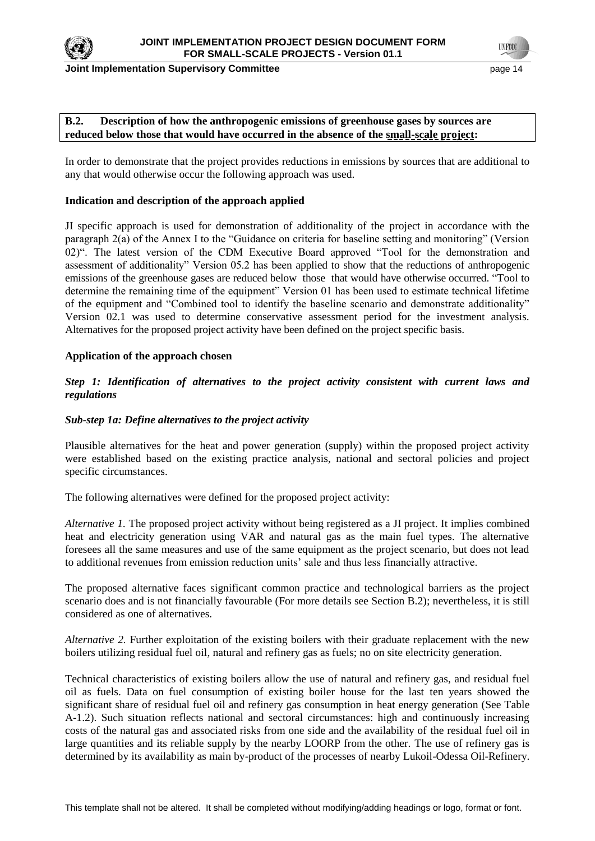

**Joint Implementation Supervisory Committee According to the Control of the Control of the Control of the Control of the Page 14** 

**TYFOO** 

### **B.2. Description of how the anthropogenic emissions of greenhouse gases by sources are reduced below those that would have occurred in the absence of the small-scale project:**

In order to demonstrate that the project provides reductions in emissions by sources that are additional to any that would otherwise occur the following approach was used.

### **Indication and description of the approach applied**

JI specific approach is used for demonstration of additionality of the project in accordance with the paragraph 2(a) of the Annex I to the "Guidance on criteria for baseline setting and monitoring" (Version 02)". The latest version of the CDM Executive Board approved "Tool for the demonstration and assessment of additionality" Version 05.2 has been applied to show that the reductions of anthropogenic emissions of the greenhouse gases are reduced below those that would have otherwise occurred. "Tool to determine the remaining time of the equipment" Version 01 has been used to estimate technical lifetime of the equipment and "Combined tool to identify the baseline scenario and demonstrate additionality" Version 02.1 was used to determine conservative assessment period for the investment analysis. Alternatives for the proposed project activity have been defined on the project specific basis.

## **Application of the approach chosen**

## *Step 1: Identification of alternatives to the project activity consistent with current laws and regulations*

## *Sub-step 1a: Define alternatives to the project activity*

Plausible alternatives for the heat and power generation (supply) within the proposed project activity were established based on the existing practice analysis, national and sectoral policies and project specific circumstances.

The following alternatives were defined for the proposed project activity:

*Alternative 1.* The proposed project activity without being registered as a JI project. It implies combined heat and electricity generation using VAR and natural gas as the main fuel types. The alternative foresees all the same measures and use of the same equipment as the project scenario, but does not lead to additional revenues from emission reduction units' sale and thus less financially attractive.

The proposed alternative faces significant common practice and technological barriers as the project scenario does and is not financially favourable (For more details see Section B.2); nevertheless, it is still considered as one of alternatives.

*Alternative 2.* Further exploitation of the existing boilers with their graduate replacement with the new boilers utilizing residual fuel oil, natural and refinery gas as fuels; no on site electricity generation.

Technical characteristics of existing boilers allow the use of natural and refinery gas, and residual fuel oil as fuels. Data on fuel consumption of existing boiler house for the last ten years showed the significant share of residual fuel oil and refinery gas consumption in heat energy generation (See Table A-1.2). Such situation reflects national and sectoral circumstances: high and continuously increasing costs of the natural gas and associated risks from one side and the availability of the residual fuel oil in large quantities and its reliable supply by the nearby LOORP from the other. The use of refinery gas is determined by its availability as main by-product of the processes of nearby Lukoil-Odessa Oil-Refinery.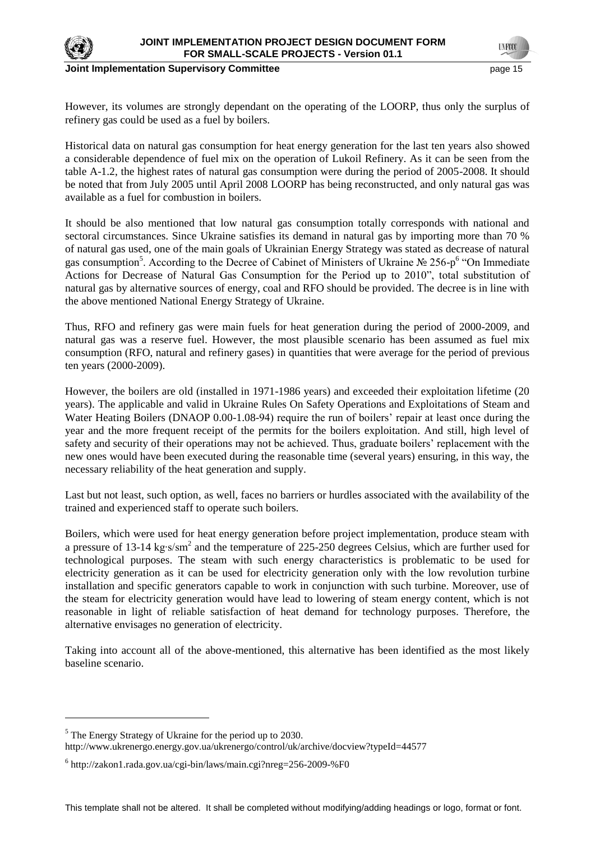

#### **Joint Implementation Supervisory Committee** *page 15* **page 15**

However, its volumes are strongly dependant on the operating of the LOORP, thus only the surplus of refinery gas could be used as a fuel by boilers.

Historical data on natural gas consumption for heat energy generation for the last ten years also showed a considerable dependence of fuel mix on the operation of Lukoil Refinery. As it can be seen from the table A-1.2, the highest rates of natural gas consumption were during the period of 2005-2008. It should be noted that from July 2005 until April 2008 LOORP has being reconstructed, and only natural gas was available as a fuel for combustion in boilers.

It should be also mentioned that low natural gas consumption totally corresponds with national and sectoral circumstances. Since Ukraine satisfies its demand in natural gas by importing more than 70 % of natural gas used, one of the main goals of Ukrainian Energy Strategy was stated as decrease of natural gas consumption<sup>5</sup>. According to the Decree of Cabinet of Ministers of Ukraine № 256-p<sup>6</sup> "On Immediate Actions for Decrease of Natural Gas Consumption for the Period up to 2010", total substitution of natural gas by alternative sources of energy, coal and RFO should be provided. The decree is in line with the above mentioned National Energy Strategy of Ukraine.

Thus, RFO and refinery gas were main fuels for heat generation during the period of 2000-2009, and natural gas was a reserve fuel. However, the most plausible scenario has been assumed as fuel mix consumption (RFO, natural and refinery gases) in quantities that were average for the period of previous ten years (2000-2009).

However, the boilers are old (installed in 1971-1986 years) and exceeded their exploitation lifetime (20 years). The applicable and valid in Ukraine Rules On Safety Operations and Exploitations of Steam and Water Heating Boilers (DNAOP 0.00-1.08-94) require the run of boilers' repair at least once during the year and the more frequent receipt of the permits for the boilers exploitation. And still, high level of safety and security of their operations may not be achieved. Thus, graduate boilers' replacement with the new ones would have been executed during the reasonable time (several years) ensuring, in this way, the necessary reliability of the heat generation and supply.

Last but not least, such option, as well, faces no barriers or hurdles associated with the availability of the trained and experienced staff to operate such boilers.

Boilers, which were used for heat energy generation before project implementation, produce steam with a pressure of 13-14 kg·s/sm<sup>2</sup> and the temperature of 225-250 degrees Celsius, which are further used for technological purposes. The steam with such energy characteristics is problematic to be used for electricity generation as it can be used for electricity generation only with the low revolution turbine installation and specific generators capable to work in conjunction with such turbine. Moreover, use of the steam for electricity generation would have lead to lowering of steam energy content, which is not reasonable in light of reliable satisfaction of heat demand for technology purposes. Therefore, the alternative envisages no generation of electricity.

Taking into account all of the above-mentioned, this alternative has been identified as the most likely baseline scenario.

 $\overline{a}$ 

<sup>&</sup>lt;sup>5</sup> The Energy Strategy of Ukraine for the period up to 2030.

http://www.ukrenergo.energy.gov.ua/ukrenergo/control/uk/archive/docview?typeId=44577

<sup>6</sup> http://zakon1.rada.gov.ua/cgi-bin/laws/main.cgi?nreg=256-2009-%F0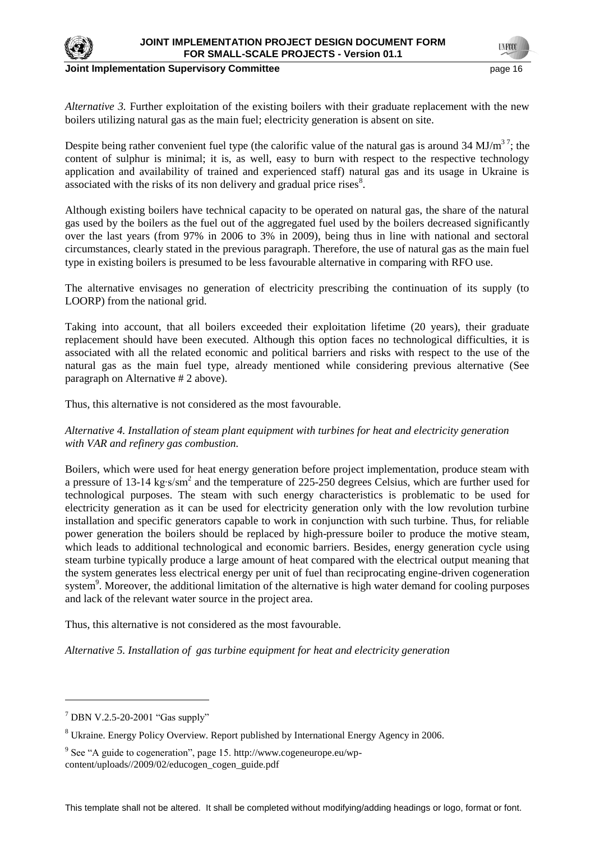

#### **Joint Implementation Supervisory Committee According to the Control of the Control of the Control of the Page 16**

*Alternative 3.* Further exploitation of the existing boilers with their graduate replacement with the new boilers utilizing natural gas as the main fuel; electricity generation is absent on site.

Despite being rather convenient fuel type (the calorific value of the natural gas is around 34 MJ/ $m<sup>37</sup>$ ; the content of sulphur is minimal; it is, as well, easy to burn with respect to the respective technology application and availability of trained and experienced staff) natural gas and its usage in Ukraine is associated with the risks of its non delivery and gradual price rises $8$ .

Although existing boilers have technical capacity to be operated on natural gas, the share of the natural gas used by the boilers as the fuel out of the aggregated fuel used by the boilers decreased significantly over the last years (from 97% in 2006 to 3% in 2009), being thus in line with national and sectoral circumstances, clearly stated in the previous paragraph. Therefore, the use of natural gas as the main fuel type in existing boilers is presumed to be less favourable alternative in comparing with RFO use.

The alternative envisages no generation of electricity prescribing the continuation of its supply (to LOORP) from the national grid.

Taking into account, that all boilers exceeded their exploitation lifetime (20 years), their graduate replacement should have been executed. Although this option faces no technological difficulties, it is associated with all the related economic and political barriers and risks with respect to the use of the natural gas as the main fuel type, already mentioned while considering previous alternative (See paragraph on Alternative # 2 above).

Thus, this alternative is not considered as the most favourable.

*Alternative 4. Installation of steam plant equipment with turbines for heat and electricity generation with VAR and refinery gas combustion.*

Boilers, which were used for heat energy generation before project implementation, produce steam with a pressure of 13-14 kg·s/sm<sup>2</sup> and the temperature of 225-250 degrees Celsius, which are further used for technological purposes. The steam with such energy characteristics is problematic to be used for electricity generation as it can be used for electricity generation only with the low revolution turbine installation and specific generators capable to work in conjunction with such turbine. Thus, for reliable power generation the boilers should be replaced by high-pressure boiler to produce the motive steam, which leads to additional technological and economic barriers. Besides, energy generation cycle using steam turbine typically produce a large amount of heat compared with the electrical output meaning that the system generates less electrical energy per unit of fuel than reciprocating engine-driven cogeneration system<sup>9</sup>. Moreover, the additional limitation of the alternative is high water demand for cooling purposes and lack of the relevant water source in the project area.

Thus, this alternative is not considered as the most favourable.

*Alternative 5. Installation of gas turbine equipment for heat and electricity generation*

 $7$  DBN V.2.5-20-2001 "Gas supply"

<sup>8</sup> Ukraine. Energy Policy Overview. Report published by International Energy Agency in 2006.

<sup>&</sup>lt;sup>9</sup> See "A guide to cogeneration", page 15. http://www.cogeneurope.eu/wpcontent/uploads//2009/02/educogen\_cogen\_guide.pdf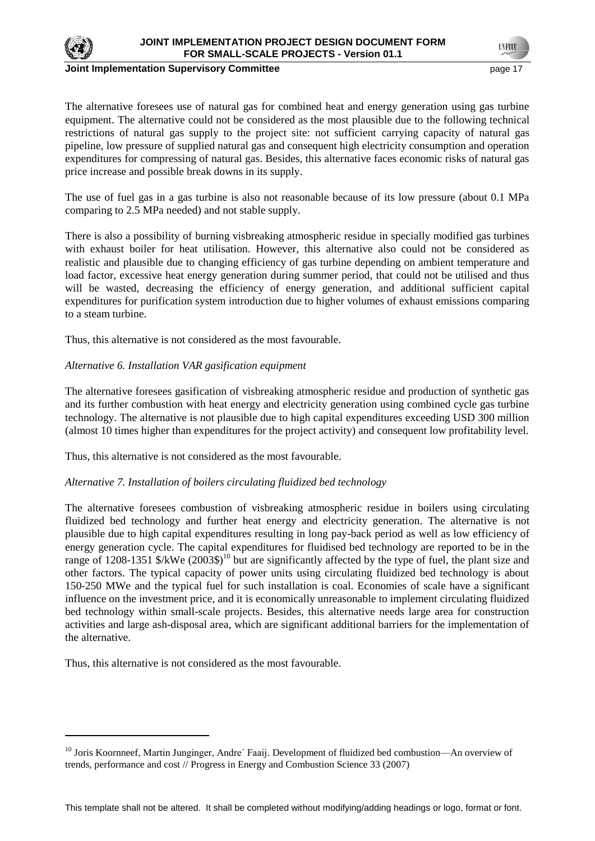

 $\overline{a}$ 

#### **Joint Implementation Supervisory Committee According the Control of the Control of the Control of the Control of the Page 17**

The alternative foresees use of natural gas for combined heat and energy generation using gas turbine equipment. The alternative could not be considered as the most plausible due to the following technical restrictions of natural gas supply to the project site: not sufficient carrying capacity of natural gas pipeline, low pressure of supplied natural gas and consequent high electricity consumption and operation expenditures for compressing of natural gas. Besides, this alternative faces economic risks of natural gas price increase and possible break downs in its supply.

The use of fuel gas in a gas turbine is also not reasonable because of its low pressure (about 0.1 MPa comparing to 2.5 MPa needed) and not stable supply.

There is also a possibility of burning visbreaking atmospheric residue in specially modified gas turbines with exhaust boiler for heat utilisation. However, this alternative also could not be considered as realistic and plausible due to changing efficiency of gas turbine depending on ambient temperature and load factor, excessive heat energy generation during summer period, that could not be utilised and thus will be wasted, decreasing the efficiency of energy generation, and additional sufficient capital expenditures for purification system introduction due to higher volumes of exhaust emissions comparing to a steam turbine.

Thus, this alternative is not considered as the most favourable.

### *Alternative 6. Installation VAR gasification equipment*

The alternative foresees gasification of visbreaking atmospheric residue and production of synthetic gas and its further combustion with heat energy and electricity generation using combined cycle gas turbine technology. The alternative is not plausible due to high capital expenditures exceeding USD 300 million (almost 10 times higher than expenditures for the project activity) and consequent low profitability level.

Thus, this alternative is not considered as the most favourable.

### *Alternative 7. Installation of boilers circulating fluidized bed technology*

The alternative foresees combustion of visbreaking atmospheric residue in boilers using circulating fluidized bed technology and further heat energy and electricity generation. The alternative is not plausible due to high capital expenditures resulting in long pay-back period as well as low efficiency of energy generation cycle. The capital expenditures for fluidised bed technology are reported to be in the range of 1208-1351 \$/kWe (2003\$)<sup>10</sup> but are significantly affected by the type of fuel, the plant size and other factors. The typical capacity of power units using circulating fluidized bed technology is about 150-250 MWe and the typical fuel for such installation is coal. Economies of scale have a significant influence on the investment price, and it is economically unreasonable to implement circulating fluidized bed technology within small-scale projects. Besides, this alternative needs large area for construction activities and large ash-disposal area, which are significant additional barriers for the implementation of the alternative.

Thus, this alternative is not considered as the most favourable.

<sup>&</sup>lt;sup>10</sup> Joris Koornneef, Martin Junginger, Andre' Faaij. Development of fluidized bed combustion—An overview of trends, performance and cost // Progress in Energy and Combustion Science 33 (2007)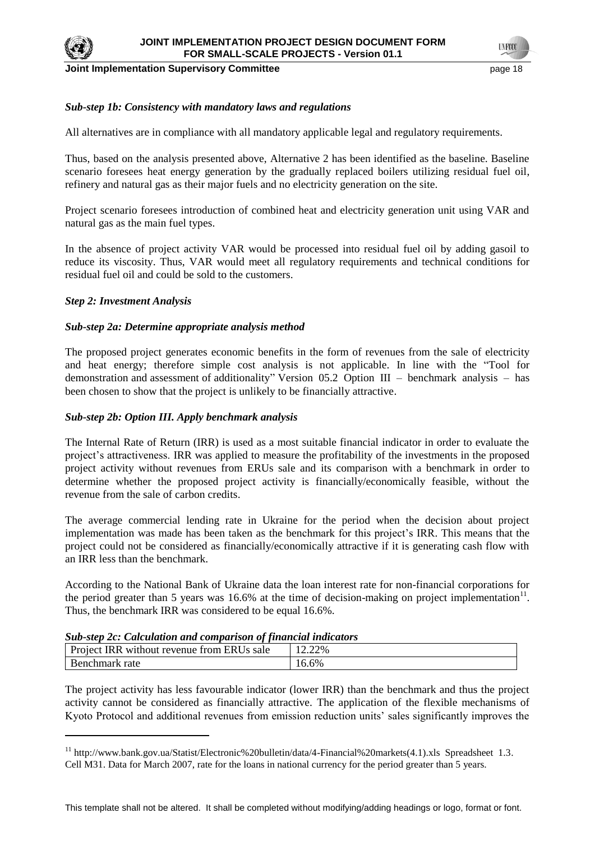

 $\overline{a}$ 

**Joint Implementation Supervisory Committee According the Control of the Control of the Control of the Page 18** 

**TNFOO** 

## *Sub-step 1b: Consistency with mandatory laws and regulations*

All alternatives are in compliance with all mandatory applicable legal and regulatory requirements.

Thus, based on the analysis presented above, Alternative 2 has been identified as the baseline. Baseline scenario foresees heat energy generation by the gradually replaced boilers utilizing residual fuel oil, refinery and natural gas as their major fuels and no electricity generation on the site.

Project scenario foresees introduction of combined heat and electricity generation unit using VAR and natural gas as the main fuel types.

In the absence of project activity VAR would be processed into residual fuel oil by adding gasoil to reduce its viscosity. Thus, VAR would meet all regulatory requirements and technical conditions for residual fuel oil and could be sold to the customers.

### *Step 2: Investment Analysis*

### *Sub-step 2a: Determine appropriate analysis method*

The proposed project generates economic benefits in the form of revenues from the sale of electricity and heat energy; therefore simple cost analysis is not applicable. In line with the "Tool for demonstration and assessment of additionality" Version  $05.2$  Option III – benchmark analysis – has been chosen to show that the project is unlikely to be financially attractive.

## *Sub-step 2b: Option III. Apply benchmark analysis*

The Internal Rate of Return (IRR) is used as a most suitable financial indicator in order to evaluate the project's attractiveness. IRR was applied to measure the [profitability](http://en.wikipedia.org/wiki/Profit_(economics)) of the [investments](http://en.wikipedia.org/wiki/Investment) in the proposed project activity without revenues from ERUs sale and its comparison with a benchmark in order to determine whether the proposed project activity is financially/economically feasible, without the revenue from the sale of carbon credits.

The average commercial lending rate in Ukraine for the period when the decision about project implementation was made has been taken as the benchmark for this project's IRR. This means that the project could not be considered as financially/economically attractive if it is generating cash flow with an IRR less than the benchmark.

According to the National Bank of Ukraine data the loan interest rate for non-financial corporations for the period greater than 5 years was 16.6% at the time of decision-making on project implementation $^{11}$ . Thus, the benchmark IRR was considered to be equal 16.6%.

| suv-step 2c. Calculation and comparison of financial materials |        |  |
|----------------------------------------------------------------|--------|--|
| Project IRR without revenue from ERUs sale                     | 12.22% |  |
| Benchmark rate                                                 | 16.6%  |  |

## *Sub-step 2c: Calculation and comparison of financial indicators*

The project activity has less favourable indicator (lower IRR) than the benchmark and thus the project activity cannot be considered as financially attractive. The application of the flexible mechanisms of Kyoto Protocol and additional revenues from emission reduction units' sales significantly improves the

<sup>&</sup>lt;sup>11</sup> http://www.bank.gov.ua/Statist/Electronic%20bulletin/data/4-Financial%20markets(4.1).xls Spreadsheet 1.3. Cell M31. Data for March 2007, rate for the loans in national currency for the period greater than 5 years.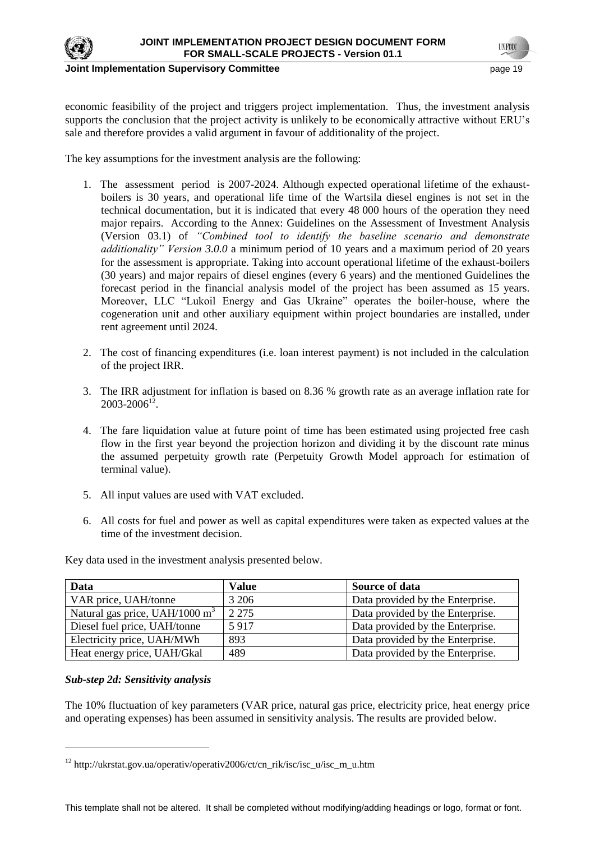

economic feasibility of the project and triggers project implementation. Thus, the investment analysis supports the conclusion that the project activity is unlikely to be economically attractive without ERU's sale and therefore provides a valid argument in favour of additionality of the project.

The key assumptions for the investment analysis are the following:

- 1. The assessment period is 2007-2024. Although expected operational lifetime of the exhaustboilers is 30 years, and operational life time of the Wartsila diesel engines is not set in the technical documentation, but it is indicated that every 48 000 hours of the operation they need major repairs. According to the Annex: Guidelines on the Assessment of Investment Analysis (Version 03.1) of *"Combined tool to identify the baseline scenario and demonstrate additionality" Version 3.0.0* a minimum period of 10 years and a maximum period of 20 years for the assessment is appropriate. Taking into account operational lifetime of the exhaust-boilers (30 years) and major repairs of diesel engines (every 6 years) and the mentioned Guidelines the forecast period in the financial analysis model of the project has been assumed as 15 years. Moreover, LLC "Lukoil Energy and Gas Ukraine" operates the boiler-house, where the cogeneration unit and other auxiliary equipment within project boundaries are installed, under rent agreement until 2024.
- 2. The cost of financing expenditures (i.e. loan interest payment) is not included in the calculation of the project IRR.
- 3. The IRR adjustment for inflation is based on 8.36 % growth rate as an average inflation rate for  $2003 - 2006^{12}$ .
- 4. The fare liquidation value at future point of time has been estimated using projected free cash flow in the first year beyond the projection horizon and dividing it by the discount rate minus the assumed perpetuity growth rate (Perpetuity Growth Model approach for estimation of terminal value).
- 5. All input values are used with VAT excluded.
- 6. All costs for fuel and power as well as capital expenditures were taken as expected values at the time of the investment decision.

| Data                             | <b>Value</b> | Source of data                   |
|----------------------------------|--------------|----------------------------------|
| VAR price, UAH/tonne             | 3 2 0 6      | Data provided by the Enterprise. |
| Natural gas price, UAH/1000 $m3$ | 2 2 7 5      | Data provided by the Enterprise. |
| Diesel fuel price, UAH/tonne     | 5917         | Data provided by the Enterprise. |
| Electricity price, UAH/MWh       | 893          | Data provided by the Enterprise. |
| Heat energy price, UAH/Gkal      | 489          | Data provided by the Enterprise. |

Key data used in the investment analysis presented below.

### *Sub-step 2d: Sensitivity analysis*

The 10% fluctuation of key parameters (VAR price, natural gas price, electricity price, heat energy price and operating expenses) has been assumed in sensitivity analysis. The results are provided below.

<sup>12</sup> http://ukrstat.gov.ua/operativ/operativ2006/ct/cn\_rik/isc/isc\_u/isc\_m\_u.htm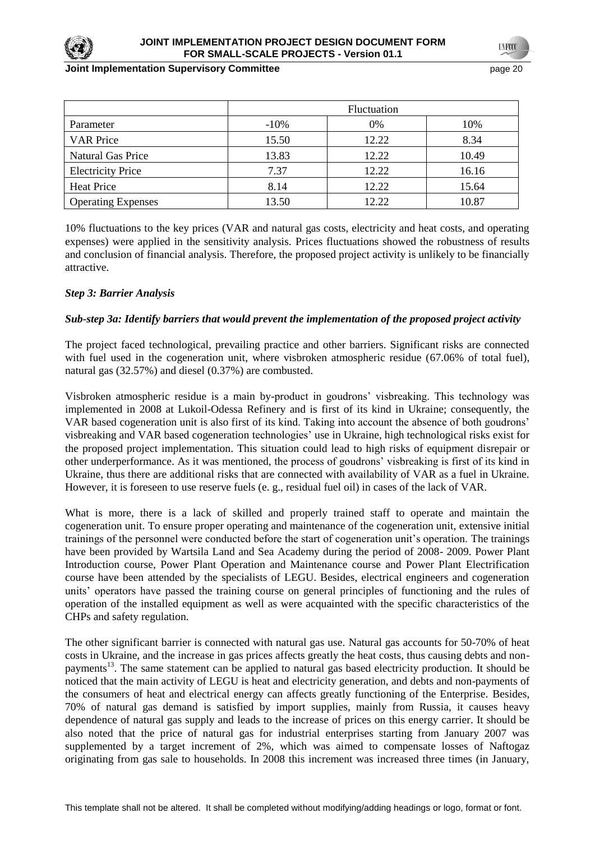

#### **Joint Implementation Supervisory Committee According to the Control of the Control of the Control of the Control of the Page 20 and 20 and 20 and 20 and 20 and 20 and 20 and 20 and 20 and 20 and 20 and 20 and 20 and 20 an**

|                           |         | <b>Fluctuation</b> |       |
|---------------------------|---------|--------------------|-------|
| Parameter                 | $-10\%$ | 0%                 | 10%   |
| <b>VAR Price</b>          | 15.50   | 12.22              | 8.34  |
| <b>Natural Gas Price</b>  | 13.83   | 12.22              | 10.49 |
| <b>Electricity Price</b>  | 7.37    | 12.22              | 16.16 |
| <b>Heat Price</b>         | 8.14    | 12.22              | 15.64 |
| <b>Operating Expenses</b> | 13.50   | 12.22              | 10.87 |

10% fluctuations to the key prices (VAR and natural gas costs, electricity and heat costs, and operating expenses) were applied in the sensitivity analysis. Prices fluctuations showed the robustness of results and conclusion of financial analysis. Therefore, the proposed project activity is unlikely to be financially attractive.

## *Step 3: Barrier Analysis*

### *Sub-step 3a: Identify barriers that would prevent the implementation of the proposed project activity*

The project faced technological, prevailing practice and other barriers. Significant risks are connected with fuel used in the cogeneration unit, where visbroken atmospheric residue (67.06% of total fuel), natural gas (32.57%) and diesel (0.37%) are combusted.

Visbroken atmospheric residue is a main by-product in goudrons' visbreaking. This technology was implemented in 2008 at Lukoil-Odessa Refinery and is first of its kind in Ukraine; consequently, the VAR based cogeneration unit is also first of its kind. Taking into account the absence of both goudrons' visbreaking and VAR based cogeneration technologies' use in Ukraine, high technological risks exist for the proposed project implementation. This situation could lead to high risks of equipment disrepair or other underperformance. As it was mentioned, the process of goudrons' visbreaking is first of its kind in Ukraine, thus there are additional risks that are connected with availability of VAR as a fuel in Ukraine. However, it is foreseen to use reserve fuels (e. g., residual fuel oil) in cases of the lack of VAR.

What is more, there is a lack of skilled and properly trained staff to operate and maintain the cogeneration unit. To ensure proper operating and maintenance of the cogeneration unit, extensive initial trainings of the personnel were conducted before the start of cogeneration unit's operation. The trainings have been provided by Wartsila Land and Sea Academy during the period of 2008- 2009. Power Plant Introduction course, Power Plant Operation and Maintenance course and Power Plant Electrification course have been attended by the specialists of LEGU. Besides, electrical engineers and cogeneration units' operators have passed the training course on general principles of functioning and the rules of operation of the installed equipment as well as were acquainted with the specific characteristics of the CHPs and safety regulation.

The other significant barrier is connected with natural gas use. Natural gas accounts for 50-70% of heat costs in Ukraine, and the increase in gas prices affects greatly the heat costs, thus causing debts and nonpayments<sup>13</sup>. The same statement can be applied to natural gas based electricity production. It should be noticed that the main activity of LEGU is heat and electricity generation, and debts and non-payments of the consumers of heat and electrical energy can affects greatly functioning of the Enterprise. Besides, 70% of natural gas demand is satisfied by import supplies, mainly from Russia, it causes heavy dependence of natural gas supply and leads to the increase of prices on this energy carrier. It should be also noted that the price of natural gas for industrial enterprises starting from January 2007 was supplemented by a target increment of 2%, which was aimed to compensate losses of Naftogaz originating from gas sale to households. In 2008 this increment was increased three times (in January,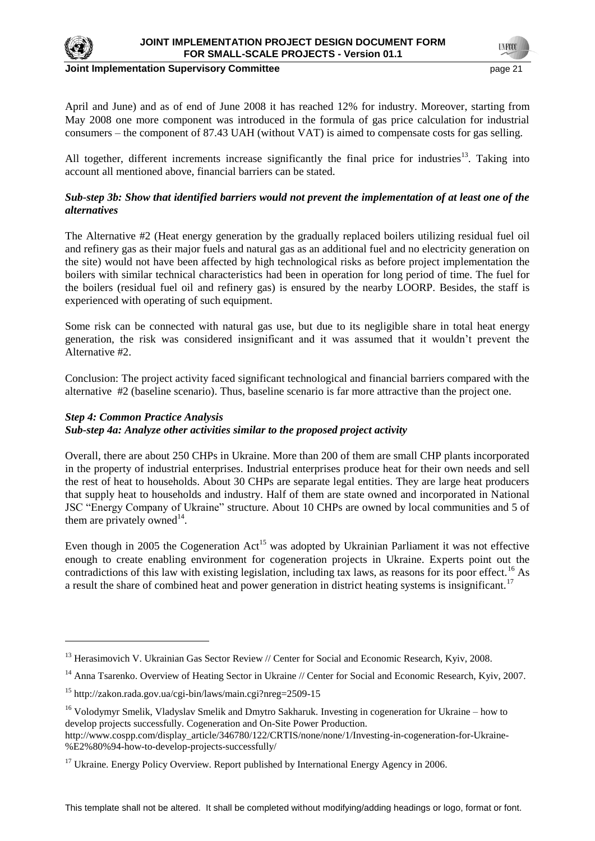

 $\overline{a}$ 

**Joint Implementation Supervisory Committee page 21** page 21

April and June) and as of end of June 2008 it has reached 12% for industry. Moreover, starting from May 2008 one more component was introduced in the formula of gas price calculation for industrial consumers – the component of 87.43 UAH (without VAT) is aimed to compensate costs for gas selling.

All together, different increments increase significantly the final price for industries<sup>13</sup>. Taking into account all mentioned above, financial barriers can be stated.

## *Sub-step 3b: Show that identified barriers would not prevent the implementation of at least one of the alternatives*

The Alternative #2 (Heat energy generation by the gradually replaced boilers utilizing residual fuel oil and refinery gas as their major fuels and natural gas as an additional fuel and no electricity generation on the site) would not have been affected by high technological risks as before project implementation the boilers with similar technical characteristics had been in operation for long period of time. The fuel for the boilers (residual fuel oil and refinery gas) is ensured by the nearby LOORP. Besides, the staff is experienced with operating of such equipment.

Some risk can be connected with natural gas use, but due to its negligible share in total heat energy generation, the risk was considered insignificant and it was assumed that it wouldn't prevent the Alternative #2.

Conclusion: The project activity faced significant technological and financial barriers compared with the alternative #2 (baseline scenario). Thus, baseline scenario is far more attractive than the project one.

## *Step 4: Common Practice Analysis Sub-step 4a: Analyze other activities similar to the proposed project activity*

Overall, there are about 250 CHPs in Ukraine. More than 200 of them are small CHP plants incorporated in the property of industrial enterprises. Industrial enterprises produce heat for their own needs and sell the rest of heat to households. About 30 CHPs are separate legal entities. They are large heat producers that supply heat to households and industry. Half of them are state owned and incorporated in National JSC "Energy Company of Ukraine" structure. About 10 CHPs are owned by local communities and 5 of them are privately owned $^{14}$ .

Even though in 2005 the Cogeneration  $Act^{15}$  was adopted by Ukrainian Parliament it was not effective enough to create enabling environment for cogeneration projects in Ukraine. Experts point out the contradictions of this law with existing legislation, including tax laws, as reasons for its poor effect.<sup>16</sup> As a result the share of combined heat and power generation in district heating systems is insignificant.<sup>17</sup>

<sup>&</sup>lt;sup>13</sup> Herasimovich V. Ukrainian Gas Sector Review // Center for Social and Economic Research, Kyiv, 2008.

<sup>&</sup>lt;sup>14</sup> Anna Tsarenko. Overview of Heating Sector in Ukraine // Center for Social and Economic Research, Kyiv, 2007.

<sup>15</sup> http://zakon.rada.gov.ua/cgi-bin/laws/main.cgi?nreg=2509-15

<sup>&</sup>lt;sup>16</sup> Volodymyr Smelik, Vladyslav Smelik and Dmytro Sakharuk. Investing in cogeneration for Ukraine – how to develop projects successfully. Cogeneration and On-Site Power Production.

http://www.cospp.com/display\_article/346780/122/CRTIS/none/none/1/Investing-in-cogeneration-for-Ukraine- %E2%80%94-how-to-develop-projects-successfully/

 $17$  Ukraine. Energy Policy Overview. Report published by International Energy Agency in 2006.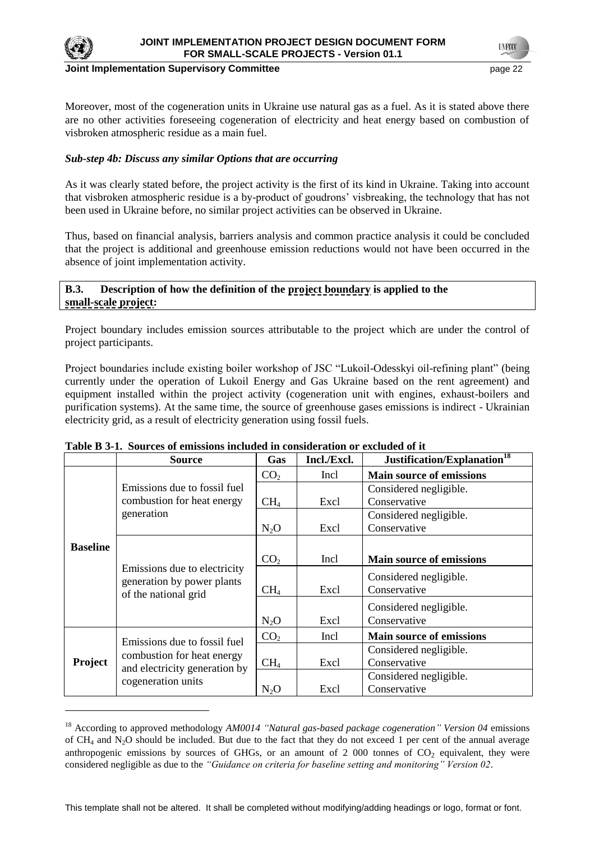

#### **Joint Implementation Supervisory Committee Access 22 Access 22 Access 22 Access 22 Access 22 Access 22 Access**

Moreover, most of the cogeneration units in Ukraine use natural gas as a fuel. As it is stated above there are no other activities foreseeing cogeneration of electricity and heat energy based on combustion of visbroken atmospheric residue as a main fuel.

## *Sub-step 4b: Discuss any similar Options that are occurring*

As it was clearly stated before, the project activity is the first of its kind in Ukraine. Taking into account that visbroken atmospheric residue is a by-product of goudrons' visbreaking, the technology that has not been used in Ukraine before, no similar project activities can be observed in Ukraine.

Thus, based on financial analysis, barriers analysis and common practice analysis it could be concluded that the project is additional and greenhouse emission reductions would not have been occurred in the absence of joint implementation activity.

## **B.3. Description of how the definition of the project boundary is applied to the small-scale project:**

Project boundary includes emission sources attributable to the project which are under the control of project participants.

Project boundaries include existing boiler workshop of JSC "Lukoil-Odesskyi oil-refining plant" (being currently under the operation of Lukoil Energy and Gas Ukraine based on the rent agreement) and equipment installed within the project activity (cogeneration unit with engines, exhaust-boilers and purification systems). At the same time, the source of greenhouse gases emissions is indirect - Ukrainian electricity grid, as a result of electricity generation using fossil fuels.

|                 | <b>Source</b>                                                                      | Gas             | Incl./Excl. | Justification/Explanation <sup>18</sup> |
|-----------------|------------------------------------------------------------------------------------|-----------------|-------------|-----------------------------------------|
|                 |                                                                                    | CO <sub>2</sub> | Incl        | <b>Main source of emissions</b>         |
|                 | Emissions due to fossil fuel                                                       |                 |             | Considered negligible.                  |
|                 | combustion for heat energy                                                         | CH <sub>4</sub> | Excl        | Conservative                            |
|                 | generation                                                                         |                 |             | Considered negligible.                  |
|                 |                                                                                    | $N_2O$          | Excl        | Conservative                            |
| <b>Baseline</b> |                                                                                    |                 |             |                                         |
|                 | Emissions due to electricity<br>generation by power plants<br>of the national grid | CO <sub>2</sub> | Incl        | <b>Main source of emissions</b>         |
|                 |                                                                                    |                 |             | Considered negligible.                  |
|                 |                                                                                    | CH <sub>4</sub> | Excl        | Conservative                            |
|                 |                                                                                    |                 |             | Considered negligible.                  |
|                 |                                                                                    | $N_2O$          | Excl        | Conservative                            |
|                 | Emissions due to fossil fuel                                                       | CO <sub>2</sub> | Incl.       | <b>Main source of emissions</b>         |
|                 | combustion for heat energy<br>and electricity generation by<br>cogeneration units  |                 |             | Considered negligible.                  |
| Project         |                                                                                    | CH <sub>4</sub> | Excl        | Conservative                            |
|                 |                                                                                    |                 |             | Considered negligible.                  |
|                 |                                                                                    | $N_2O$          | Excl        | Conservative                            |

#### **Table B 3-1. Sources of emissions included in consideration or excluded of it**

<sup>18</sup> According to approved methodology *AM0014 "Natural gas-based package cogeneration" Version 04* emissions of  $CH_4$  and N<sub>2</sub>O should be included. But due to the fact that they do not exceed 1 per cent of the annual average anthropogenic emissions by sources of GHGs, or an amount of  $2\,000$  tonnes of  $CO<sub>2</sub>$  equivalent, they were considered negligible as due to the *"Guidance on criteria for baseline setting and monitoring" Version 02*.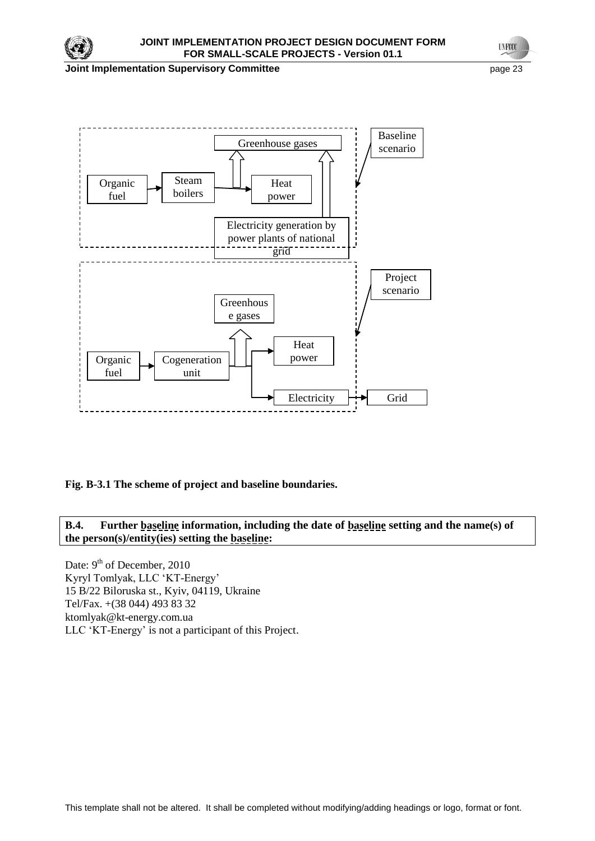

**Joint Implementation Supervisory Committee** *page 23* **page 23** 

**UNFOCO** 



**Fig. B-3.1 The scheme of project and baseline boundaries.**

**B.4. Further baseline information, including the date of baseline setting and the name(s) of the person(s)/entity(ies) setting the baseline:**

Date: 9<sup>th</sup> of December, 2010 Kyryl Tomlyak, LLC ‗KT-Energy' 15 B/22 Biloruska st., Kyiv, 04119, Ukraine Tel/Fax. +(38 044) 493 83 32 ktomlyak@kt-energy.com.ua LLC ‗KT-Energy' is not a participant of this Project.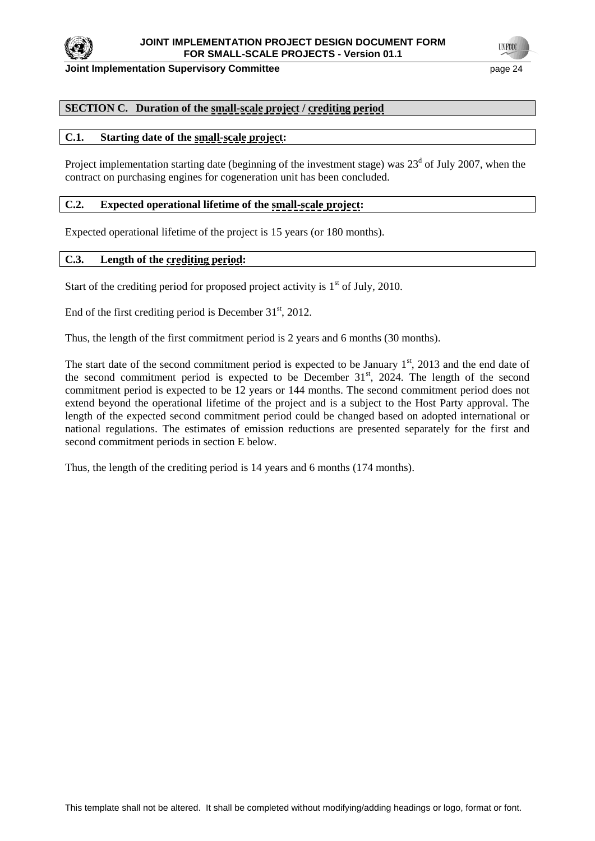

**Joint Implementation Supervisory Committee page 24 page 24 page 24** 

**TYFOO** 

# **SECTION C. Duration of the small-scale project / crediting period**

## **C.1. Starting date of the small-scale project:**

Project implementation starting date (beginning of the investment stage) was  $23<sup>d</sup>$  of July 2007, when the contract on purchasing engines for cogeneration unit has been concluded.

## **C.2. Expected operational lifetime of the small-scale project:**

Expected operational lifetime of the project is 15 years (or 180 months).

## **C.3. Length of the crediting period:**

Start of the crediting period for proposed project activity is  $1<sup>st</sup>$  of July, 2010.

End of the first crediting period is December  $31<sup>st</sup>$ , 2012.

Thus, the length of the first commitment period is 2 years and 6 months (30 months).

The start date of the second commitment period is expected to be January  $1<sup>st</sup>$ , 2013 and the end date of the second commitment period is expected to be December  $31<sup>st</sup>$ , 2024. The length of the second commitment period is expected to be 12 years or 144 months. The second commitment period does not extend beyond the operational lifetime of the project and is a subject to the Host Party approval. The length of the expected second commitment period could be changed based on adopted international or national regulations. The estimates of emission reductions are presented separately for the first and second commitment periods in section E below.

Thus, the length of the crediting period is 14 years and 6 months (174 months).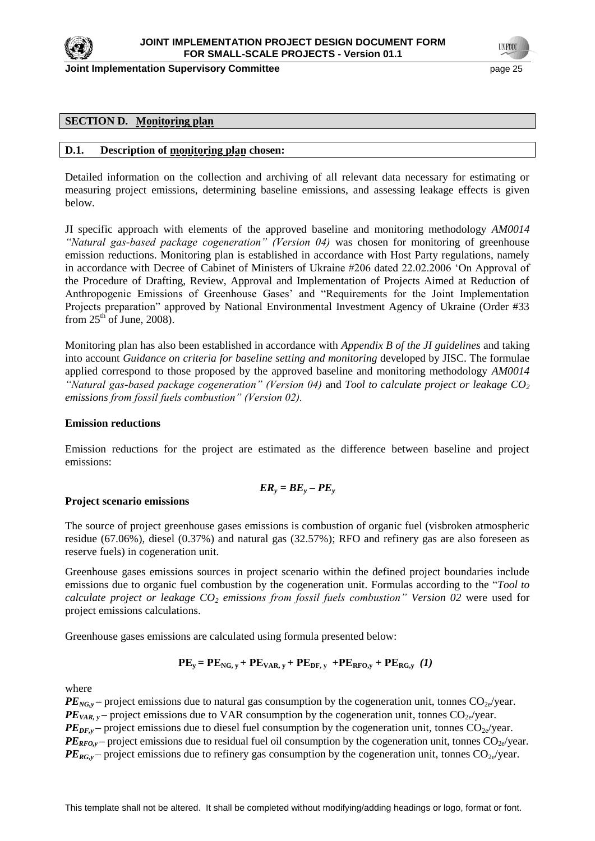

**Joint Implementation Supervisory Committee Committee** *page 25* **page 25</u> page 25** 

## **SECTION D. Monitoring plan**

### **D.1. Description of monitoring plan chosen:**

Detailed information on the collection and archiving of all relevant data necessary for estimating or measuring project emissions, determining baseline emissions, and assessing leakage effects is given below.

JI specific approach with elements of the approved baseline and monitoring methodology *AM0014 "Natural gas-based package cogeneration" (Version 04)* was chosen for monitoring of greenhouse emission reductions. Monitoring plan is established in accordance with Host Party regulations, namely in accordance with Decree of Cabinet of Ministers of Ukraine #206 dated 22.02.2006 'On Approval of the Procedure of Drafting, Review, Approval and Implementation of Projects Aimed at Reduction of Anthropogenic Emissions of Greenhouse Gases' and "Requirements for the Joint Implementation Projects preparation" approved by National Environmental Investment Agency of Ukraine (Order #33 from  $25<sup>th</sup>$  of June, 2008).

Monitoring plan has also been established in accordance with *Appendix B of the JI guidelines* and taking into account *Guidance on criteria for baseline setting and monitoring* developed by JISC. The formulae applied correspond to those proposed by the approved baseline and monitoring methodology *AM0014 "Natural gas-based package cogeneration" (Version 04)* and *Tool to calculate project or leakage CO<sup>2</sup> emissions from fossil fuels combustion" (Version 02).*

#### **Emission reductions**

Emission reductions for the project are estimated as the difference between baseline and project emissions:

$$
ER_{y} = BE_{y} - PE_{y}
$$

#### **Project scenario emissions**

The source of project greenhouse gases emissions is combustion of organic fuel (visbroken atmospheric residue (67.06%), diesel (0.37%) and natural gas (32.57%); RFO and refinery gas are also foreseen as reserve fuels) in cogeneration unit.

Greenhouse gases emissions sources in project scenario within the defined project boundaries include emissions due to organic fuel combustion by the cogeneration unit. Formulas according to the "*Tool to calculate project or leakage CO<sup>2</sup> emissions from fossil fuels combustion" Version 02* were used for project emissions calculations.

Greenhouse gases emissions are calculated using formula presented below:

$$
PE_y = PE_{NG, y} + PE_{VAR, y} + PE_{DF, y} + PE_{RFO, y} + PE_{RG, y} (1)
$$

where

 $PE_{NG, y}$  – project emissions due to natural gas consumption by the cogeneration unit, tonnes  $CO_{2e}/year$ .  $PE<sub>VAR, y</sub>$  – project emissions due to VAR consumption by the cogeneration unit, tonnes  $CO<sub>2e</sub>/year$ .  $PE_{DE, y}$  – project emissions due to diesel fuel consumption by the cogeneration unit, tonnes  $CO_{2e}/year$ .  $PE_{RFO, y}$  – project emissions due to residual fuel oil consumption by the cogeneration unit, tonnes  $CO_{2e}/year$ .  $PE_{RG,v}$  – project emissions due to refinery gas consumption by the cogeneration unit, tonnes  $CO_{2e}/year$ .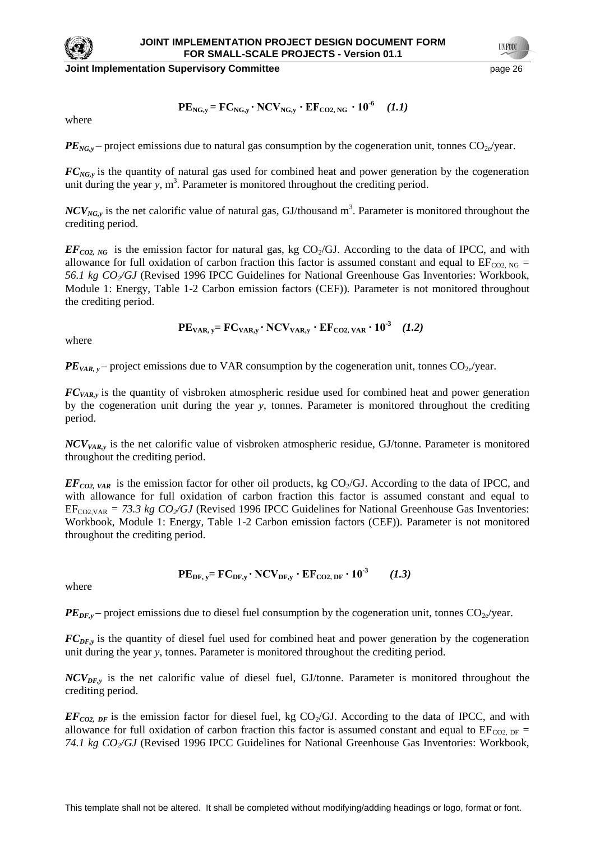

**Joint Implementation Supervisory Committee Committee** *page 26* **page 26 page 26 page 26 page 26 page 26 page 26 page 26 page 26 page 26 page 26 page 26 page 26 page 26 page 26 page 26 page 26 page 26 page 26 page 26 pag** 

$$
PE_{NG,y} = FC_{NG,y} \cdot NCV_{NG,y} \cdot EF_{CO2,NG} \cdot 10^{-6} \quad (1.1)
$$

where

 $PE_{NG,y}$  – project emissions due to natural gas consumption by the cogeneration unit, tonnes  $CO_{2e}/year$ .

*FC*<sub>*NG<sub>y</sub>*</sub> is the quantity of natural gas used for combined heat and power generation by the cogeneration unit during the year  $y$ ,  $m<sup>3</sup>$ . Parameter is monitored throughout the crediting period.

 $NCV_{NG,y}$  is the net calorific value of natural gas, GJ/thousand m<sup>3</sup>. Parameter is monitored throughout the crediting period.

 $EF_{CO2, NG}$  is the emission factor for natural gas, kg CO<sub>2</sub>/GJ. According to the data of IPCC, and with allowance for full oxidation of carbon fraction this factor is assumed constant and equal to  $EF_{CO2, NG}$  = *56.1 kg CO2/GJ* (Revised 1996 IPCC Guidelines for National Greenhouse Gas Inventories: Workbook, Module 1: Energy, Table 1-2 Carbon emission factors (CEF))*.* Parameter is not monitored throughout the crediting period.

$$
PEVAR, y = FCVAR, y \cdot NCVVAR, y \cdot EFCO2, VAR \cdot 10-3 (1.2)
$$

where

 $PE<sub>VAR, y</sub>$  – project emissions due to VAR consumption by the cogeneration unit, tonnes  $CO<sub>2e</sub>/year$ .

*FCVAR,y* is the quantity of visbroken atmospheric residue used for combined heat and power generation by the cogeneration unit during the year *y*, tonnes. Parameter is monitored throughout the crediting period.

*NCVVAR,y* is the net calorific value of visbroken atmospheric residue, GJ/tonne. Parameter is monitored throughout the crediting period.

 $EF_{CO2, VAR}$  is the emission factor for other oil products, kg  $CO<sub>2</sub>/GI$ . According to the data of IPCC, and with allowance for full oxidation of carbon fraction this factor is assumed constant and equal to  $EF_{CO2,VAR} = 73.3$  kg  $CO_2/GJ$  (Revised 1996 IPCC Guidelines for National Greenhouse Gas Inventories: Workbook, Module 1: Energy, Table 1-2 Carbon emission factors (CEF)). Parameter is not monitored throughout the crediting period.

where

 $PE_{DF,y}$  – project emissions due to diesel fuel consumption by the cogeneration unit, tonnes  $CO_{2e}/year$ .

 $PE_{DF, y} = FC_{DF, y} \cdot NCV_{DF, y} \cdot EF_{CO2, DF} \cdot 10^{-3}$  *(1.3)* 

*FCDF,y* is the quantity of diesel fuel used for combined heat and power generation by the cogeneration unit during the year *y*, tonnes. Parameter is monitored throughout the crediting period.

*NCVDF,y* is the net calorific value of diesel fuel, GJ/tonne. Parameter is monitored throughout the crediting period.

 $EF_{CO2, DF}$  is the emission factor for diesel fuel, kg CO<sub>2</sub>/GJ. According to the data of IPCC, and with allowance for full oxidation of carbon fraction this factor is assumed constant and equal to  $EF_{CO2, DF}$  = *74.1 kg CO2/GJ* (Revised 1996 IPCC Guidelines for National Greenhouse Gas Inventories: Workbook,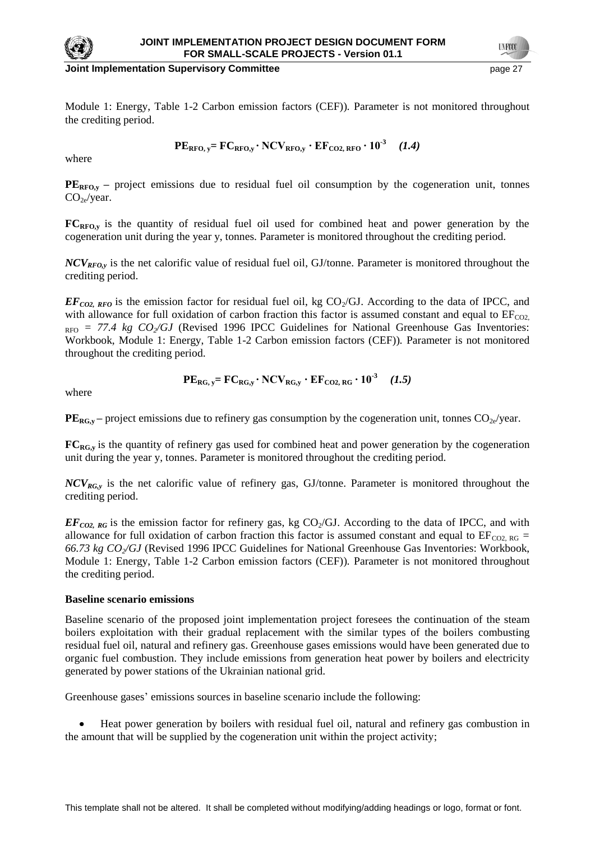

**Joint Implementation Supervisory Committee Access 27 Access 27 Access 27 Access 27 Access 27 Access 27 Access** 

Module 1: Energy, Table 1-2 Carbon emission factors (CEF))*.* Parameter is not monitored throughout the crediting period.

$$
PERFO, y = FCRFO, y \cdot NCVRFO, y \cdot EFCO2, RFO \cdot 10-3 (1.4)
$$

where

 $PE<sub>RFO,y</sub>$  – project emissions due to residual fuel oil consumption by the cogeneration unit, tonnes  $CO<sub>2e</sub>/year.$ 

**FCRFO,y** is the quantity of residual fuel oil used for combined heat and power generation by the cogeneration unit during the year y, tonnes. Parameter is monitored throughout the crediting period.

*NCVRFO,y* is the net calorific value of residual fuel oil, GJ/tonne. Parameter is monitored throughout the crediting period.

 $EF_{CO2, RFO}$  is the emission factor for residual fuel oil, kg CO<sub>2</sub>/GJ. According to the data of IPCC, and with allowance for full oxidation of carbon fraction this factor is assumed constant and equal to  $EF_{CO2}$ .  $_{RFO}$  = 77.4 kg  $CO_2/GJ$  (Revised 1996 IPCC Guidelines for National Greenhouse Gas Inventories: Workbook, Module 1: Energy, Table 1-2 Carbon emission factors (CEF))*.* Parameter is not monitored throughout the crediting period.

$$
PE_{RG, y} = FC_{RG, y} \cdot NCV_{RG, y} \cdot EF_{CO2, RG} \cdot 10^{-3} \quad (1.5)
$$

where

 $PE_{RG,y}$  – project emissions due to refinery gas consumption by the cogeneration unit, tonnes  $CO_{2e}/year$ .

**FC<sub>RG</sub>**, is the quantity of refinery gas used for combined heat and power generation by the cogeneration unit during the year y, tonnes. Parameter is monitored throughout the crediting period.

*NCVRG,y* is the net calorific value of refinery gas, GJ/tonne. Parameter is monitored throughout the crediting period.

 $EF_{CO2, RG}$  is the emission factor for refinery gas, kg  $CO<sub>2</sub>/GI$ . According to the data of IPCC, and with allowance for full oxidation of carbon fraction this factor is assumed constant and equal to  $EF_{CO2, RG}$  = *66.73 kg CO2/GJ* (Revised 1996 IPCC Guidelines for National Greenhouse Gas Inventories: Workbook, Module 1: Energy, Table 1-2 Carbon emission factors (CEF))*.* Parameter is not monitored throughout the crediting period.

### **Baseline scenario emissions**

Baseline scenario of the proposed joint implementation project foresees the continuation of the steam boilers exploitation with their gradual replacement with the similar types of the boilers combusting residual fuel oil, natural and refinery gas. Greenhouse gases emissions would have been generated due to organic fuel combustion. They include emissions from generation heat power by boilers and electricity generated by power stations of the Ukrainian national grid.

Greenhouse gases' emissions sources in baseline scenario include the following:

Heat power generation by boilers with residual fuel oil, natural and refinery gas combustion in the amount that will be supplied by the cogeneration unit within the project activity;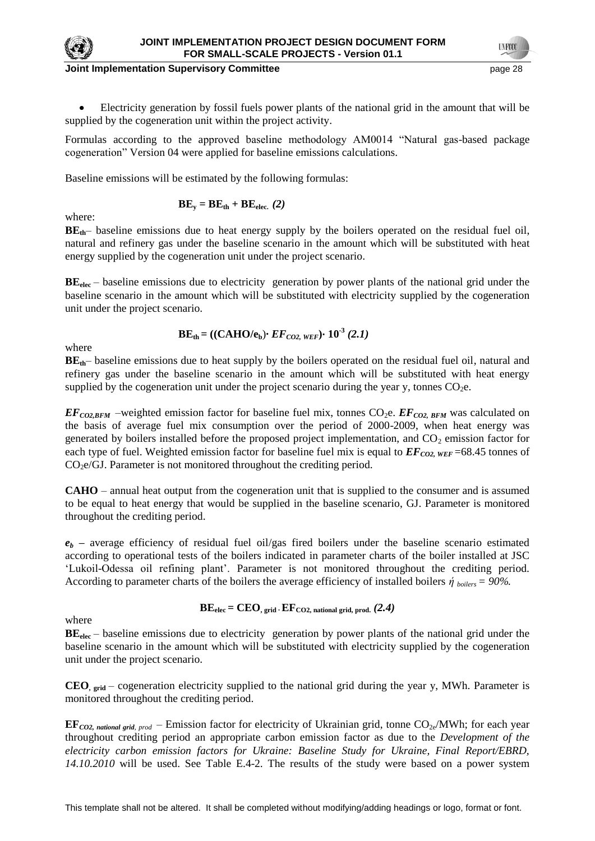

#### **Joint Implementation Supervisory Committee According the Control of the Control of the Control of the Control of the Page 28**

Electricity generation by fossil fuels power plants of the national grid in the amount that will be supplied by the cogeneration unit within the project activity.

Formulas according to the approved baseline methodology AM0014 "Natural gas-based package cogeneration" Version 04 were applied for baseline emissions calculations.

Baseline emissions will be estimated by the following formulas:

$$
BE_{y} = BE_{th} + BE_{elec.} (2)
$$

where:

**BEth**– baseline emissions due to heat energy supply by the boilers operated on the residual fuel oil, natural and refinery gas under the baseline scenario in the amount which will be substituted with heat energy supplied by the cogeneration unit under the project scenario.

**BE**<sub>elec</sub> – baseline emissions due to electricity generation by power plants of the national grid under the baseline scenario in the amount which will be substituted with electricity supplied by the cogeneration unit under the project scenario.

$$
BE_{\text{th}} = ((CAHO/e_{b}) \cdot EF_{CO2, \text{WEF}}) \cdot 10^{-3} (2.1)
$$

where

**BEth**– baseline emissions due to heat supply by the boilers operated on the residual fuel oil, natural and refinery gas under the baseline scenario in the amount which will be substituted with heat energy supplied by the cogeneration unit under the project scenario during the year y, tonnes  $CO<sub>2</sub>e$ .

 $EF_{CO2,BFM}$  –weighted emission factor for baseline fuel mix, tonnes CO<sub>2</sub>e.  $EF_{CO2,BFM}$  was calculated on the basis of average fuel mix consumption over the period of 2000-2009, when heat energy was generated by boilers installed before the proposed project implementation, and  $CO<sub>2</sub>$  emission factor for each type of fuel. Weighted emission factor for baseline fuel mix is equal to  $EF_{CO2, WEF}$  =68.45 tonnes of  $CO<sub>2</sub>e/GJ$ . Parameter is not monitored throughout the crediting period.

**CAHO** – annual heat output from the cogeneration unit that is supplied to the consumer and is assumed to be equal to heat energy that would be supplied in the baseline scenario, GJ. Parameter is monitored throughout the crediting period.

 $e_b$  – average efficiency of residual fuel oil/gas fired boilers under the baseline scenario estimated according to operational tests of the boilers indicated in parameter charts of the boiler installed at JSC ‗Lukoil-Odessa oil refining plant'. Parameter is not monitored throughout the crediting period. According to parameter charts of the boilers the average efficiency of installed boilers  $\dot{\eta}$  *boilers* = 90%.

 $\text{BE}_{elec} = \text{CEO}_{\text{. grid}} \cdot \text{EF}_{\text{CO2, national grid, prod.}} (2.4)$ 

where

**BE**<sub>elec</sub> – baseline emissions due to electricity generation by power plants of the national grid under the baseline scenario in the amount which will be substituted with electricity supplied by the cogeneration unit under the project scenario.

**CEO, grid** – cogeneration electricity supplied to the national grid during the year y, MWh. Parameter is monitored throughout the crediting period.

**EF***CO2, national grid, prod* – Emission factor for electricity of Ukrainian grid, tonne  $CO_{2e}/MWh$ ; for each year throughout crediting period an appropriate carbon emission factor as due to the *Development of the electricity carbon emission factors for Ukraine: Baseline Study for Ukraine, Final Report/EBRD, 14.10.2010* will be used. See Table E.4-2. The results of the study were based on a power system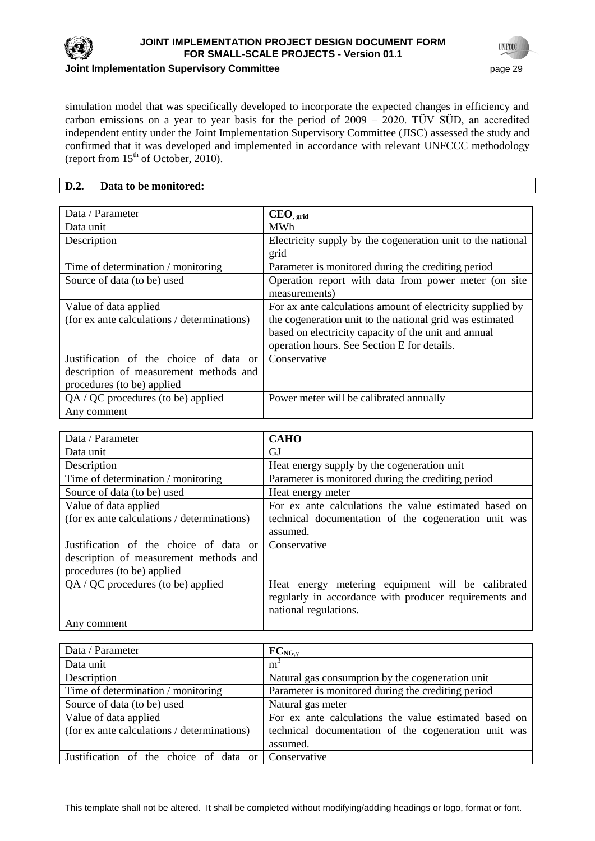

**UNFOCO** 

simulation model that was specifically developed to incorporate the expected changes in efficiency and carbon emissions on a year to year basis for the period of 2009 – 2020. TÜV SÜD, an accredited independent entity under the Joint Implementation Supervisory Committee (JISC) assessed the study and confirmed that it was developed and implemented in accordance with relevant UNFCCC methodology (report from  $15<sup>th</sup>$  of October, 2010).

## **D.2. Data to be monitored:**

| Data / Parameter                            | $CEO_{, grid}$                                              |
|---------------------------------------------|-------------------------------------------------------------|
| Data unit                                   | <b>MWh</b>                                                  |
| Description                                 | Electricity supply by the cogeneration unit to the national |
|                                             | grid                                                        |
| Time of determination / monitoring          | Parameter is monitored during the crediting period          |
| Source of data (to be) used                 | Operation report with data from power meter (on site        |
|                                             | measurements)                                               |
| Value of data applied                       | For ax ante calculations amount of electricity supplied by  |
| (for ex ante calculations / determinations) | the cogeneration unit to the national grid was estimated    |
|                                             | based on electricity capacity of the unit and annual        |
|                                             | operation hours. See Section E for details.                 |
| Justification of the choice of data or      | Conservative                                                |
| description of measurement methods and      |                                                             |
| procedures (to be) applied                  |                                                             |
| QA / QC procedures (to be) applied          | Power meter will be calibrated annually                     |
| Any comment                                 |                                                             |

| Data / Parameter                            | <b>CAHO</b>                                            |
|---------------------------------------------|--------------------------------------------------------|
| Data unit                                   | GJ                                                     |
| Description                                 | Heat energy supply by the cogeneration unit            |
| Time of determination / monitoring          | Parameter is monitored during the crediting period     |
| Source of data (to be) used                 | Heat energy meter                                      |
| Value of data applied                       | For ex ante calculations the value estimated based on  |
| (for ex ante calculations / determinations) | technical documentation of the cogeneration unit was   |
|                                             | assumed.                                               |
| Justification of the choice of data or      | Conservative                                           |
| description of measurement methods and      |                                                        |
| procedures (to be) applied                  |                                                        |
| $QA / QC$ procedures (to be) applied        | metering equipment will be calibrated<br>Heat energy   |
|                                             | regularly in accordance with producer requirements and |
|                                             | national regulations.                                  |
| Any comment                                 |                                                        |

| Data / Parameter                                    | $FC_{NG, v}$                                          |
|-----------------------------------------------------|-------------------------------------------------------|
| Data unit                                           | m <sup>3</sup>                                        |
| Description                                         | Natural gas consumption by the cogeneration unit      |
| Time of determination / monitoring                  | Parameter is monitored during the crediting period    |
| Source of data (to be) used                         | Natural gas meter                                     |
| Value of data applied                               | For ex ante calculations the value estimated based on |
| (for ex ante calculations / determinations)         | technical documentation of the cogeneration unit was  |
|                                                     | assumed.                                              |
| Justification of the choice of data or Conservative |                                                       |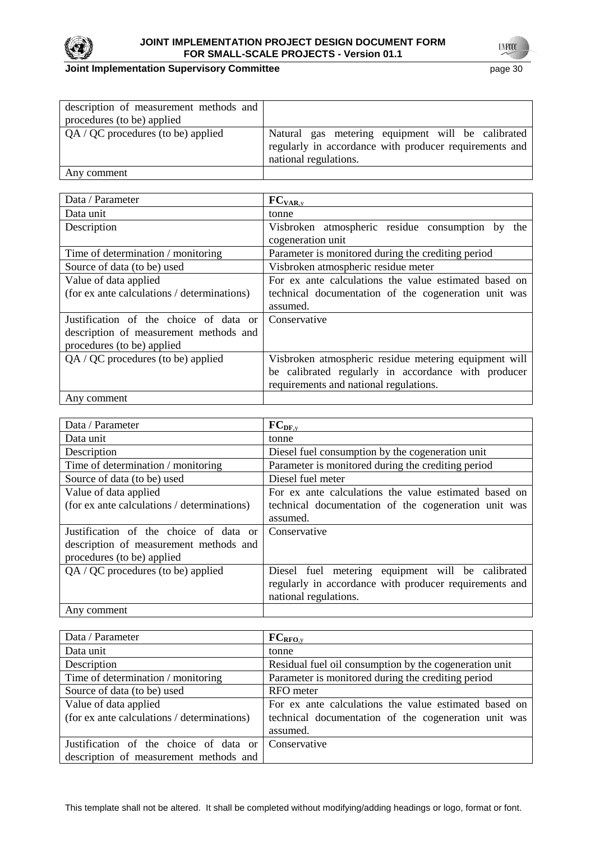

## **Joint Implementation Supervisory Committee** page 30

| description of measurement methods and |                                                                                                                                      |
|----------------------------------------|--------------------------------------------------------------------------------------------------------------------------------------|
| procedures (to be) applied             |                                                                                                                                      |
| $QA / QC$ procedures (to be) applied   | Natural gas metering equipment will be calibrated<br>regularly in accordance with producer requirements and<br>national regulations. |
| Any comment                            |                                                                                                                                      |

| Data / Parameter                            | $FC_{VAR, y}$                                                            |
|---------------------------------------------|--------------------------------------------------------------------------|
| Data unit                                   | tonne                                                                    |
| Description                                 | Visbroken atmospheric residue consumption by<br>the<br>cogeneration unit |
| Time of determination / monitoring          | Parameter is monitored during the crediting period                       |
| Source of data (to be) used                 | Visbroken atmospheric residue meter                                      |
| Value of data applied                       | For ex ante calculations the value estimated based on                    |
| (for ex ante calculations / determinations) | technical documentation of the cogeneration unit was                     |
|                                             | assumed.                                                                 |
| Justification of the choice of data or      | Conservative                                                             |
| description of measurement methods and      |                                                                          |
| procedures (to be) applied                  |                                                                          |
| $QA / QC$ procedures (to be) applied        | Visbroken atmospheric residue metering equipment will                    |
|                                             | be calibrated regularly in accordance with producer                      |
|                                             | requirements and national regulations.                                   |
| Any comment                                 |                                                                          |

| Data / Parameter                            | $FC_{DF,y}$                                            |
|---------------------------------------------|--------------------------------------------------------|
| Data unit                                   | tonne                                                  |
| Description                                 | Diesel fuel consumption by the cogeneration unit       |
| Time of determination / monitoring          | Parameter is monitored during the crediting period     |
| Source of data (to be) used                 | Diesel fuel meter                                      |
| Value of data applied                       | For ex ante calculations the value estimated based on  |
| (for ex ante calculations / determinations) | technical documentation of the cogeneration unit was   |
|                                             | assumed.                                               |
| Justification of the choice of data or      | Conservative                                           |
| description of measurement methods and      |                                                        |
| procedures (to be) applied                  |                                                        |
| $QA / QC$ procedures (to be) applied        | Diesel fuel metering equipment will be calibrated      |
|                                             | regularly in accordance with producer requirements and |
|                                             | national regulations.                                  |
| Any comment                                 |                                                        |

| Data / Parameter                            | FC <sub>RFO,y</sub>                                    |  |  |
|---------------------------------------------|--------------------------------------------------------|--|--|
| Data unit                                   | tonne                                                  |  |  |
| Description                                 | Residual fuel oil consumption by the cogeneration unit |  |  |
| Time of determination / monitoring          | Parameter is monitored during the crediting period     |  |  |
| Source of data (to be) used                 | RFO meter                                              |  |  |
| Value of data applied                       | For ex ante calculations the value estimated based on  |  |  |
| (for ex ante calculations / determinations) | technical documentation of the cogeneration unit was   |  |  |
|                                             | assumed.                                               |  |  |
| Justification of the choice of data or      | Conservative                                           |  |  |
| description of measurement methods and      |                                                        |  |  |

This template shall not be altered. It shall be completed without modifying/adding headings or logo, format or font.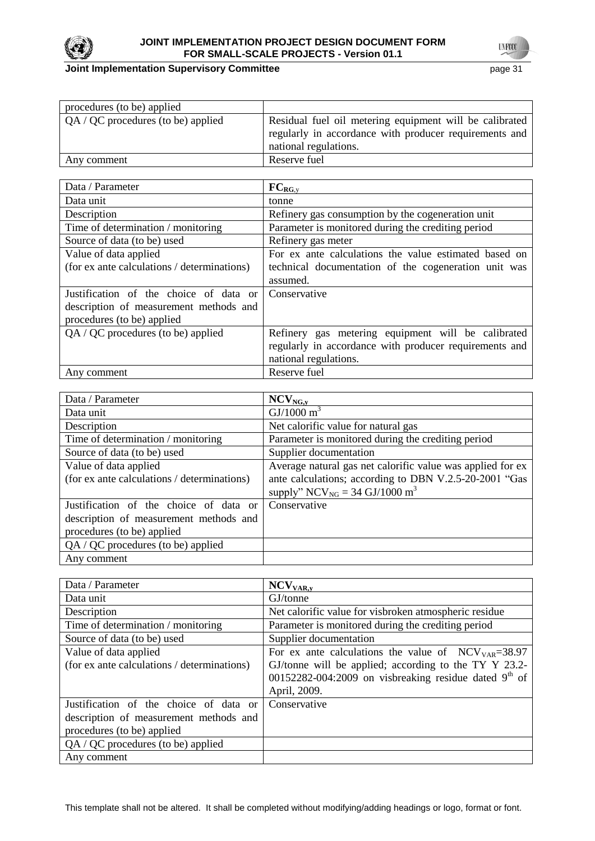

## **Joint Implementation Supervisory Committee Access 21 page 31 page 31**

| procedures (to be) applied           |                                                                                                                                            |
|--------------------------------------|--------------------------------------------------------------------------------------------------------------------------------------------|
| $QA / QC$ procedures (to be) applied | Residual fuel oil metering equipment will be calibrated<br>regularly in accordance with producer requirements and<br>national regulations. |
| Any comment                          | Reserve fuel                                                                                                                               |

| Data / Parameter                            | $FC_{RG,y}$                                            |  |  |
|---------------------------------------------|--------------------------------------------------------|--|--|
| Data unit                                   | tonne                                                  |  |  |
| Description                                 | Refinery gas consumption by the cogeneration unit      |  |  |
| Time of determination / monitoring          | Parameter is monitored during the crediting period     |  |  |
| Source of data (to be) used                 | Refinery gas meter                                     |  |  |
| Value of data applied                       | For ex ante calculations the value estimated based on  |  |  |
| (for ex ante calculations / determinations) | technical documentation of the cogeneration unit was   |  |  |
|                                             | assumed.                                               |  |  |
| Justification of the choice of data or      | Conservative                                           |  |  |
| description of measurement methods and      |                                                        |  |  |
| procedures (to be) applied                  |                                                        |  |  |
| QA / QC procedures (to be) applied          | Refinery gas metering equipment will be calibrated     |  |  |
|                                             | regularly in accordance with producer requirements and |  |  |
|                                             | national regulations.                                  |  |  |
| Any comment                                 | Reserve fuel                                           |  |  |

| Data / Parameter                            | $NCV_{NG,y}$                                               |  |
|---------------------------------------------|------------------------------------------------------------|--|
| Data unit                                   | GI/1000 m <sup>3</sup>                                     |  |
| Description                                 | Net calorific value for natural gas                        |  |
| Time of determination / monitoring          | Parameter is monitored during the crediting period         |  |
| Source of data (to be) used                 | Supplier documentation                                     |  |
| Value of data applied                       | Average natural gas net calorific value was applied for ex |  |
| (for ex ante calculations / determinations) | ante calculations; according to DBN V.2.5-20-2001 "Gas     |  |
|                                             | supply" NCV <sub>NG</sub> = 34 GJ/1000 m <sup>3</sup>      |  |
| Justification of the choice of data or      | Conservative                                               |  |
| description of measurement methods and      |                                                            |  |
| procedures (to be) applied                  |                                                            |  |
| $QA / QC$ procedures (to be) applied        |                                                            |  |
| Any comment                                 |                                                            |  |

| Data / Parameter                            | NCV <sub>VAR, y</sub>                                                 |  |
|---------------------------------------------|-----------------------------------------------------------------------|--|
| Data unit                                   | GJ/tonne                                                              |  |
| Description                                 | Net calorific value for visbroken atmospheric residue                 |  |
| Time of determination / monitoring          | Parameter is monitored during the crediting period                    |  |
| Source of data (to be) used                 | Supplier documentation                                                |  |
| Value of data applied                       | For ex ante calculations the value of $\text{NCV}_{\text{VAR}}=38.97$ |  |
| (for ex ante calculations / determinations) | GJ/tonne will be applied; according to the TY Y 23.2-                 |  |
|                                             | 00152282-004:2009 on visbreaking residue dated $9th$ of               |  |
|                                             | April, 2009.                                                          |  |
| Justification of the choice of data or      | Conservative                                                          |  |
| description of measurement methods and      |                                                                       |  |
| procedures (to be) applied                  |                                                                       |  |
| $QA / QC$ procedures (to be) applied        |                                                                       |  |
| Any comment                                 |                                                                       |  |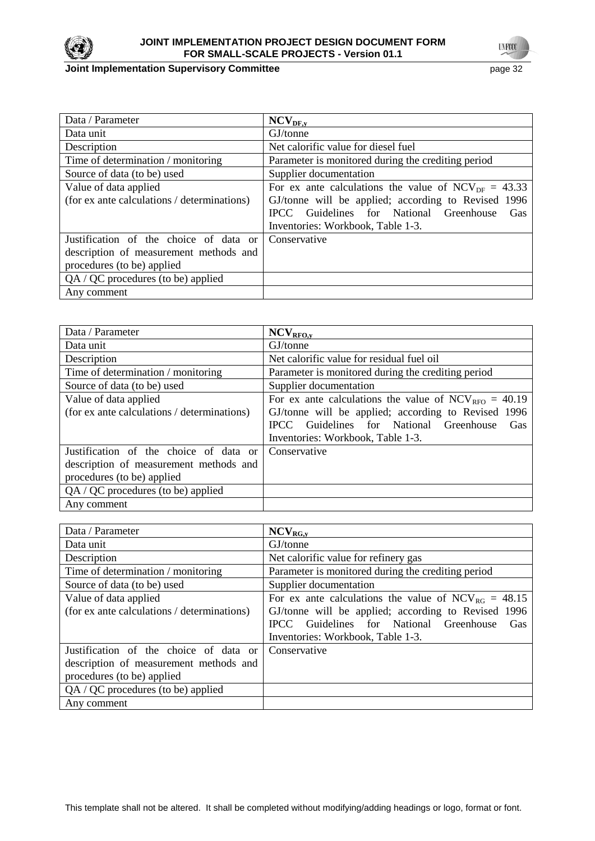

## **JOINT IMPLEMENTATION PROJECT DESIGN DOCUMENT FORM FOR SMALL-SCALE PROJECTS - Version 01.1**

**Joint Implementation Supervisory Committee** page 32

| Data / Parameter                            | $NCV_{DF,y}$                                             |  |  |
|---------------------------------------------|----------------------------------------------------------|--|--|
| Data unit                                   | GJ/tonne                                                 |  |  |
| Description                                 | Net calorific value for diesel fuel                      |  |  |
| Time of determination / monitoring          | Parameter is monitored during the crediting period       |  |  |
| Source of data (to be) used                 | Supplier documentation                                   |  |  |
| Value of data applied                       | For ex ante calculations the value of $NCV_{DF} = 43.33$ |  |  |
| (for ex ante calculations / determinations) | GJ/tonne will be applied; according to Revised 1996      |  |  |
|                                             | IPCC Guidelines for National Greenhouse<br>Gas           |  |  |
|                                             | Inventories: Workbook, Table 1-3.                        |  |  |
| Justification of the choice of data or      | Conservative                                             |  |  |
| description of measurement methods and      |                                                          |  |  |
| procedures (to be) applied                  |                                                          |  |  |
| QA / QC procedures (to be) applied          |                                                          |  |  |
| Any comment                                 |                                                          |  |  |

| Data / Parameter                            | $\rm NCV_{\rm RFO, y}$                                                  |  |  |
|---------------------------------------------|-------------------------------------------------------------------------|--|--|
| Data unit                                   | GJ/tonne                                                                |  |  |
| Description                                 | Net calorific value for residual fuel oil                               |  |  |
| Time of determination / monitoring          | Parameter is monitored during the crediting period                      |  |  |
| Source of data (to be) used                 | Supplier documentation                                                  |  |  |
| Value of data applied                       | For ex ante calculations the value of $\text{NCV}_{\text{RFO}} = 40.19$ |  |  |
| (for ex ante calculations / determinations) | GJ/tonne will be applied; according to Revised 1996                     |  |  |
|                                             | Guidelines for National Greenhouse<br><b>IPCC</b><br>Gas                |  |  |
|                                             | Inventories: Workbook, Table 1-3.                                       |  |  |
| Justification of the choice of data or      | Conservative                                                            |  |  |
| description of measurement methods and      |                                                                         |  |  |
| procedures (to be) applied                  |                                                                         |  |  |
| $QA / QC$ procedures (to be) applied        |                                                                         |  |  |
| Any comment                                 |                                                                         |  |  |

| Data / Parameter                            | $NCV_{RG,y}$                                             |  |  |
|---------------------------------------------|----------------------------------------------------------|--|--|
| Data unit                                   | GJ/tonne                                                 |  |  |
| Description                                 | Net calorific value for refinery gas                     |  |  |
| Time of determination / monitoring          | Parameter is monitored during the crediting period       |  |  |
| Source of data (to be) used                 | Supplier documentation                                   |  |  |
| Value of data applied                       | For ex ante calculations the value of $NCV_{RG} = 48.15$ |  |  |
| (for ex ante calculations / determinations) | GJ/tonne will be applied; according to Revised 1996      |  |  |
|                                             | IPCC Guidelines for National Greenhouse<br>Gas           |  |  |
|                                             | Inventories: Workbook, Table 1-3.                        |  |  |
| Justification of the choice of data or      | Conservative                                             |  |  |
| description of measurement methods and      |                                                          |  |  |
| procedures (to be) applied                  |                                                          |  |  |
| $QA / QC$ procedures (to be) applied        |                                                          |  |  |
| Any comment                                 |                                                          |  |  |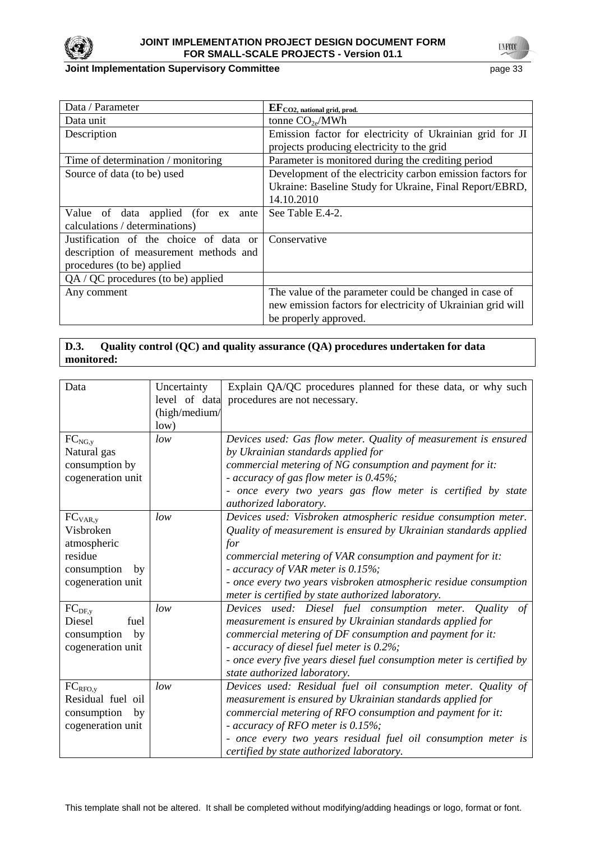

#### **Joint Implementation Supervisory Committee** page 33

| Data / Parameter                       | $EF_{CO2, \text{ national grid, prod.}}$                    |  |
|----------------------------------------|-------------------------------------------------------------|--|
| Data unit                              | tonne $CO_{2e}/MWh$                                         |  |
| Description                            | Emission factor for electricity of Ukrainian grid for JI    |  |
|                                        | projects producing electricity to the grid                  |  |
| Time of determination / monitoring     | Parameter is monitored during the crediting period          |  |
| Source of data (to be) used            | Development of the electricity carbon emission factors for  |  |
|                                        | Ukraine: Baseline Study for Ukraine, Final Report/EBRD,     |  |
|                                        | 14.10.2010                                                  |  |
| Value of data applied (for ex<br>ante  | See Table E.4-2.                                            |  |
| calculations / determinations)         |                                                             |  |
| Justification of the choice of data or | Conservative                                                |  |
| description of measurement methods and |                                                             |  |
| procedures (to be) applied             |                                                             |  |
| QA / QC procedures (to be) applied     |                                                             |  |
| Any comment                            | The value of the parameter could be changed in case of      |  |
|                                        | new emission factors for electricity of Ukrainian grid will |  |
|                                        | be properly approved.                                       |  |

# **D.3. Quality control (QC) and quality assurance (QA) procedures undertaken for data monitored:**

| Data                                     | Uncertainty<br>level of data | Explain QA/QC procedures planned for these data, or why such                                                               |  |
|------------------------------------------|------------------------------|----------------------------------------------------------------------------------------------------------------------------|--|
|                                          | (high/medium/                | procedures are not necessary.                                                                                              |  |
|                                          | low)                         |                                                                                                                            |  |
| $FC_{NG, y}$                             | low                          | Devices used: Gas flow meter. Quality of measurement is ensured                                                            |  |
| Natural gas                              |                              | by Ukrainian standards applied for                                                                                         |  |
| consumption by                           |                              | commercial metering of NG consumption and payment for it:                                                                  |  |
| cogeneration unit                        |                              | - accuracy of gas flow meter is 0.45%;                                                                                     |  |
|                                          |                              | - once every two years gas flow meter is certified by state                                                                |  |
|                                          |                              | authorized laboratory.                                                                                                     |  |
| $FC_{VAR,y}$                             | low                          | Devices used: Visbroken atmospheric residue consumption meter.                                                             |  |
| Visbroken                                |                              | Quality of measurement is ensured by Ukrainian standards applied                                                           |  |
| atmospheric                              |                              | for                                                                                                                        |  |
| residue                                  |                              | commercial metering of VAR consumption and payment for it:                                                                 |  |
| consumption<br>by                        |                              | - accuracy of VAR meter is 0.15%;                                                                                          |  |
| cogeneration unit                        |                              | - once every two years visbroken atmospheric residue consumption                                                           |  |
|                                          |                              | meter is certified by state authorized laboratory.                                                                         |  |
| $FC_{DF,y}$                              | low                          | Devices used: Diesel fuel consumption meter. Quality of                                                                    |  |
| Diesel<br>fuel                           |                              | measurement is ensured by Ukrainian standards applied for                                                                  |  |
| consumption<br>by                        |                              | commercial metering of DF consumption and payment for it:                                                                  |  |
| cogeneration unit                        |                              | - accuracy of diesel fuel meter is 0.2%;                                                                                   |  |
|                                          |                              | - once every five years diesel fuel consumption meter is certified by                                                      |  |
|                                          | low                          | state authorized laboratory.                                                                                               |  |
| FC <sub>RFO,y</sub><br>Residual fuel oil |                              | Devices used: Residual fuel oil consumption meter. Quality of<br>measurement is ensured by Ukrainian standards applied for |  |
| consumption<br>by                        |                              | commercial metering of RFO consumption and payment for it:                                                                 |  |
| cogeneration unit                        |                              | - accuracy of RFO meter is 0.15%;                                                                                          |  |
|                                          |                              | - once every two years residual fuel oil consumption meter is                                                              |  |
|                                          |                              | certified by state authorized laboratory.                                                                                  |  |
|                                          |                              |                                                                                                                            |  |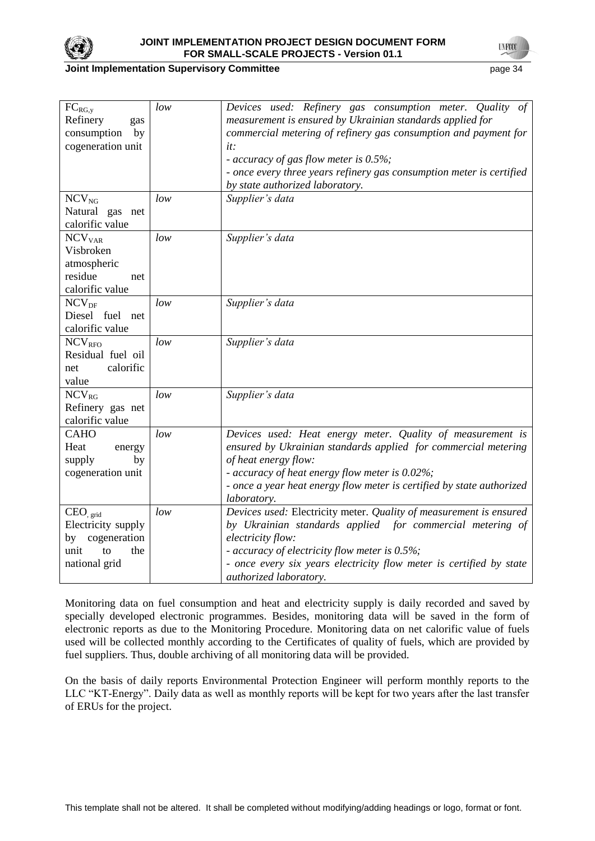

### **JOINT IMPLEMENTATION PROJECT DESIGN DOCUMENT FORM FOR SMALL-SCALE PROJECTS - Version 01.1**

### **Joint Implementation Supervisory Committee** page 34

**TNFOT** 

| $FC_{RG,y}$<br>Refinery<br>gas<br>consumption<br>by<br>cogeneration unit                           | low | Devices used: Refinery gas consumption meter. Quality of<br>measurement is ensured by Ukrainian standards applied for<br>commercial metering of refinery gas consumption and payment for<br>it:<br>- accuracy of gas flow meter is 0.5%;<br>- once every three years refinery gas consumption meter is certified<br>by state authorized laboratory. |
|----------------------------------------------------------------------------------------------------|-----|-----------------------------------------------------------------------------------------------------------------------------------------------------------------------------------------------------------------------------------------------------------------------------------------------------------------------------------------------------|
| $NCV_{NG}$<br>Natural gas net<br>calorific value                                                   | low | Supplier's data                                                                                                                                                                                                                                                                                                                                     |
| NCV <sub>VAR</sub><br>Visbroken<br>atmospheric<br>residue<br>net<br>calorific value                | low | Supplier's data                                                                                                                                                                                                                                                                                                                                     |
| $NCV_{DF}$<br>Diesel fuel net<br>calorific value                                                   | low | Supplier's data                                                                                                                                                                                                                                                                                                                                     |
| <b>NCV<sub>RFO</sub></b><br>Residual fuel oil<br>calorific<br>net<br>value                         | low | Supplier's data                                                                                                                                                                                                                                                                                                                                     |
| $NCV_{RG}$<br>Refinery gas net<br>calorific value                                                  | low | Supplier's data                                                                                                                                                                                                                                                                                                                                     |
| <b>CAHO</b><br>Heat<br>energy<br>supply<br>by<br>cogeneration unit                                 | low | Devices used: Heat energy meter. Quality of measurement is<br>ensured by Ukrainian standards applied for commercial metering<br>of heat energy flow:<br>- accuracy of heat energy flow meter is 0.02%;<br>- once a year heat energy flow meter is certified by state authorized<br>laboratory.                                                      |
| CEO <sub>grid</sub><br>Electricity supply<br>by cogeneration<br>unit<br>to<br>the<br>national grid | low | Devices used: Electricity meter. Quality of measurement is ensured<br>by Ukrainian standards applied for commercial metering of<br>electricity flow:<br>- accuracy of electricity flow meter is 0.5%;<br>- once every six years electricity flow meter is certified by state<br>authorized laboratory.                                              |

Monitoring data on fuel consumption and heat and electricity supply is daily recorded and saved by specially developed electronic programmes. Besides, monitoring data will be saved in the form of electronic reports as due to the Monitoring Procedure. Monitoring data on net calorific value of fuels used will be collected monthly according to the Certificates of quality of fuels, which are provided by fuel suppliers. Thus, double archiving of all monitoring data will be provided.

On the basis of daily reports Environmental Protection Engineer will perform monthly reports to the LLC "KT-Energy". Daily data as well as monthly reports will be kept for two years after the last transfer of ERUs for the project.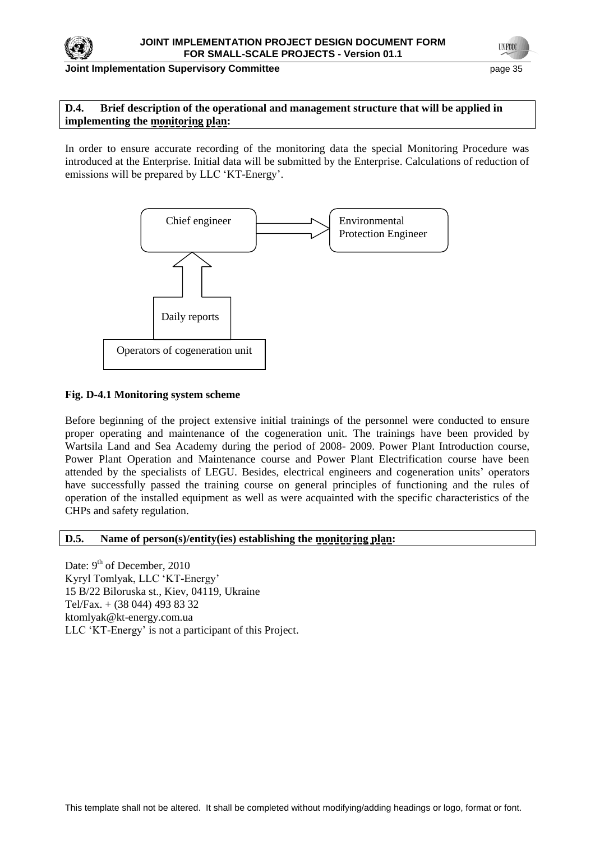

#### **Joint Implementation Supervisory Committee page 15** page 35

**TYFOO** 

## **D.4. Brief description of the operational and management structure that will be applied in implementing the monitoring plan:**

In order to ensure accurate recording of the monitoring data the special Monitoring Procedure was introduced at the Enterprise. Initial data will be submitted by the Enterprise. Calculations of reduction of emissions will be prepared by LLC 'KT-Energy'.



## **Fig. D-4.1 Monitoring system scheme**

Before beginning of the project extensive initial trainings of the personnel were conducted to ensure proper operating and maintenance of the cogeneration unit. The trainings have been provided by Wartsila Land and Sea Academy during the period of 2008- 2009. Power Plant Introduction course, Power Plant Operation and Maintenance course and Power Plant Electrification course have been attended by the specialists of LEGU. Besides, electrical engineers and cogeneration units' operators have successfully passed the training course on general principles of functioning and the rules of operation of the installed equipment as well as were acquainted with the specific characteristics of the CHPs and safety regulation.

### **D.5. Name of person(s)/entity(ies) establishing the monitoring plan:**

Date: 9<sup>th</sup> of December, 2010 Kyryl Tomlyak, LLC ‗KT-Energy' 15 B/22 Biloruska st., Kiev, 04119, Ukraine Tel/Fax. + (38 044) 493 83 32 ktomlyak@kt-energy.com.ua LLC ‗KT-Energy' is not a participant of this Project.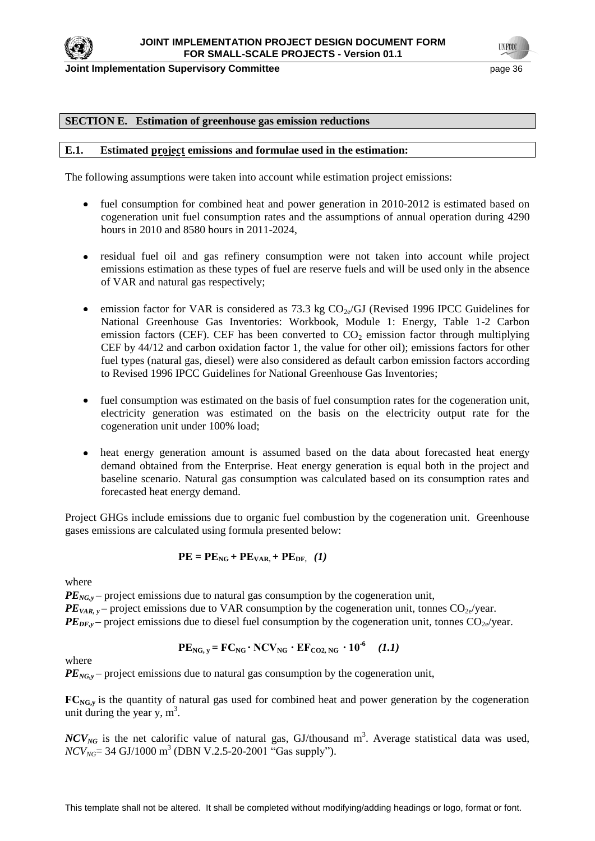

**Joint Implementation Supervisory Committee Access 26 and 20 and 20 and 20 and 20 and 20 and 36 and 36 and 36 and 36 and 36 and 36 and 36 and 36 and 36 and 36 and 36 and 36 and 36 and 36 and 36 and 36 and 36 and 36 and 36** 

#### **SECTION E. Estimation of greenhouse gas emission reductions**

#### **E.1. Estimated project emissions and formulae used in the estimation:**

The following assumptions were taken into account while estimation project emissions:

- fuel consumption for combined heat and power generation in 2010-2012 is estimated based on  $\bullet$ cogeneration unit fuel consumption rates and the assumptions of annual operation during 4290 hours in 2010 and 8580 hours in 2011-2024,
- residual fuel oil and gas refinery consumption were not taken into account while project  $\bullet$ emissions estimation as these types of fuel are reserve fuels and will be used only in the absence of VAR and natural gas respectively;
- emission factor for VAR is considered as 73.3 kg  $CO<sub>2e</sub>/GI$  (Revised 1996 IPCC Guidelines for  $\bullet$ National Greenhouse Gas Inventories: Workbook, Module 1: Energy, Table 1-2 Carbon emission factors (CEF). CEF has been converted to  $CO<sub>2</sub>$  emission factor through multiplying CEF by 44/12 and carbon oxidation factor 1, the value for other oil); emissions factors for other fuel types (natural gas, diesel) were also considered as default carbon emission factors according to Revised 1996 IPCC Guidelines for National Greenhouse Gas Inventories;
- fuel consumption was estimated on the basis of fuel consumption rates for the cogeneration unit, electricity generation was estimated on the basis on the electricity output rate for the cogeneration unit under 100% load;
- heat energy generation amount is assumed based on the data about forecasted heat energy  $\bullet$ demand obtained from the Enterprise. Heat energy generation is equal both in the project and baseline scenario. Natural gas consumption was calculated based on its consumption rates and forecasted heat energy demand.

Project GHGs include emissions due to organic fuel combustion by the cogeneration unit. Greenhouse gases emissions are calculated using formula presented below:

$$
PE = PENG + PEVAR + PEDF, (1)
$$

where

*PE*<sub>*NG,y*</sub> – project emissions due to natural gas consumption by the cogeneration unit,

 $PE_{VAR, y}$  – project emissions due to VAR consumption by the cogeneration unit, tonnes  $CO_{2e}/year$ .

 $PE_{DE, y}$  – project emissions due to diesel fuel consumption by the cogeneration unit, tonnes  $CO_{2e}/year$ .

$$
PE_{NG, y} = FC_{NG} \cdot NCV_{NG} \cdot EF_{CO2, NG} \cdot 10^{-6} \quad (1.1)
$$

where

*PE*<sub>*NG,y*</sub> – project emissions due to natural gas consumption by the cogeneration unit,

**FC**<sub>NG</sub>, is the quantity of natural gas used for combined heat and power generation by the cogeneration unit during the year y,  $m^3$ .

 $NCV_{NG}$  is the net calorific value of natural gas, GJ/thousand  $m^3$ . Average statistical data was used, *NCV*<sub>*NG*</sub>= 34 GJ/1000 m<sup>3</sup> (DBN V.2.5-20-2001 "Gas supply").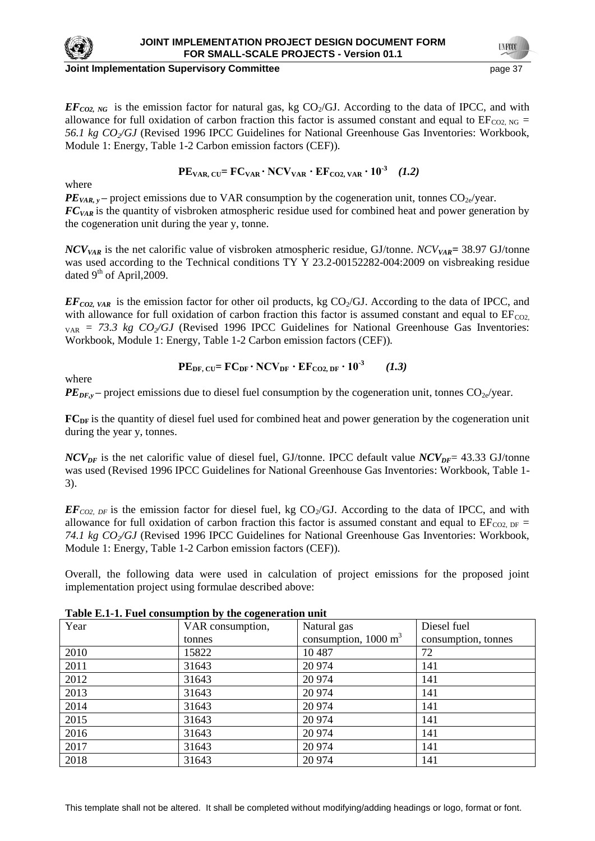

#### **Joint Implementation Supervisory Committee and Committee of the Committee of the Committee of the Committee of the Committee of the Committee of the Committee of the Committee of the Committee of the Committee of the Comm**

 $EF_{CO2, NG}$  is the emission factor for natural gas, kg CO<sub>2</sub>/GJ. According to the data of IPCC, and with allowance for full oxidation of carbon fraction this factor is assumed constant and equal to  $EF_{CO2, NG}$ *56.1 kg CO2/GJ* (Revised 1996 IPCC Guidelines for National Greenhouse Gas Inventories: Workbook, Module 1: Energy, Table 1-2 Carbon emission factors (CEF))*.* 

**PEVAR, CU= FCVAR · NCVVAR · EFCO2, VAR · 10-3**  *(1.2)*

where

 $PE_{VAR, v}$  – project emissions due to VAR consumption by the cogeneration unit, tonnes  $CO_{2e}/year$ . *FCVAR* is the quantity of visbroken atmospheric residue used for combined heat and power generation by the cogeneration unit during the year y, tonne.

*NCVVAR* is the net calorific value of visbroken atmospheric residue, GJ/tonne. *NCVVAR=* 38.97 GJ/tonne was used according to the Technical conditions TY Y 23.2-00152282-004:2009 on visbreaking residue dated  $9<sup>th</sup>$  of April, 2009.

 $EF_{CO2, VAR}$  is the emission factor for other oil products, kg CO<sub>2</sub>/GJ. According to the data of IPCC, and with allowance for full oxidation of carbon fraction this factor is assumed constant and equal to  $EF_{CO2}$ .  $V_{\text{AR}}$  = 73.3 kg  $CO_2/GJ$  (Revised 1996 IPCC Guidelines for National Greenhouse Gas Inventories: Workbook, Module 1: Energy, Table 1-2 Carbon emission factors (CEF))*.*

where

$$
PE_{DF, CU} = FC_{DF} \cdot NCV_{DF} \cdot EF_{CO2, DF} \cdot 10^{-3} \qquad (1.3)
$$

 $PE_{DF,y}$  – project emissions due to diesel fuel consumption by the cogeneration unit, tonnes  $CO_{2e}/year$ .

**FC**<sub>DF</sub> is the quantity of diesel fuel used for combined heat and power generation by the cogeneration unit during the year y, tonnes.

 $NCV_{DF}$  is the net calorific value of diesel fuel, GJ/tonne. IPCC default value  $NCV_{DF}$ = 43.33 GJ/tonne was used (Revised 1996 IPCC Guidelines for National Greenhouse Gas Inventories: Workbook, Table 1- 3).

 $EF_{CQ2\mu\bar{F}}$  is the emission factor for diesel fuel, kg CO<sub>2</sub>/GJ. According to the data of IPCC, and with allowance for full oxidation of carbon fraction this factor is assumed constant and equal to  $EF_{CO2, DF}$  = *74.1 kg CO2/GJ* (Revised 1996 IPCC Guidelines for National Greenhouse Gas Inventories: Workbook, Module 1: Energy, Table 1-2 Carbon emission factors (CEF))*.*

Overall, the following data were used in calculation of project emissions for the proposed joint implementation project using formulae described above:

| Year | VAR consumption, | Natural gas                     | Diesel fuel         |
|------|------------------|---------------------------------|---------------------|
|      | tonnes           | consumption, $1000 \text{ m}^3$ | consumption, tonnes |
| 2010 | 15822            | 10487                           | 72                  |
| 2011 | 31643            | 20 974                          | 141                 |
| 2012 | 31643            | 20 974                          | 141                 |
| 2013 | 31643            | 20 974                          | 141                 |
| 2014 | 31643            | 20 974                          | 141                 |
| 2015 | 31643            | 20 974                          | 141                 |
| 2016 | 31643            | 20 974                          | 141                 |
| 2017 | 31643            | 20 974                          | 141                 |
| 2018 | 31643            | 20 974                          | 141                 |

**Table E.1-1. Fuel consumption by the cogeneration unit**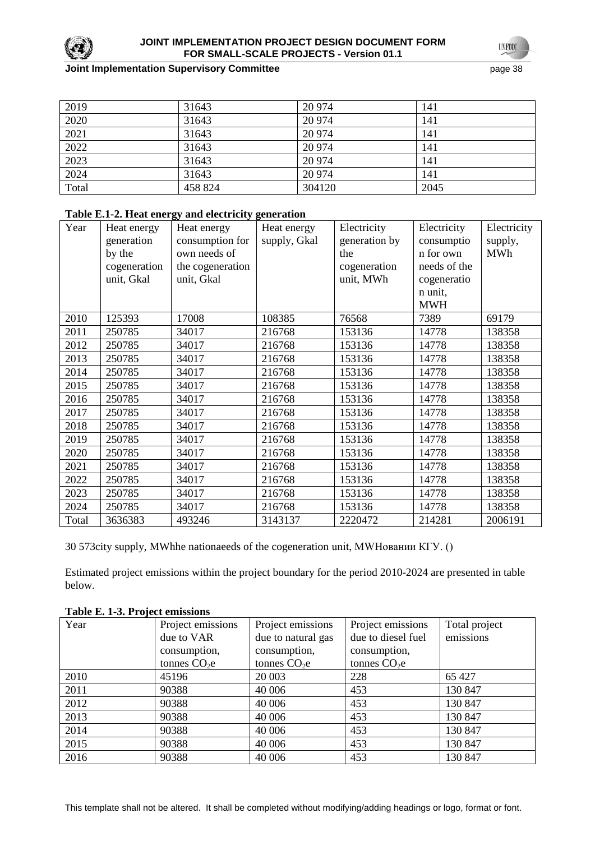

### **Joint Implementation Supervisory Committee Access 28 page 38 page 38**

**UNFOCO** 

| 2019  | 31643   | 20 974 | 141  |
|-------|---------|--------|------|
| 2020  | 31643   | 20 974 | 141  |
| 2021  | 31643   | 20 974 | 141  |
| 2022  | 31643   | 20 974 | 141  |
| 2023  | 31643   | 20 974 | 141  |
| 2024  | 31643   | 20 974 | 141  |
| Total | 458 824 | 304120 | 2045 |

# **Table E.1-2. Heat energy and electricity generation**

| Year  | Heat energy  | Heat energy      | Heat energy  | Electricity   | Electricity  | Electricity |
|-------|--------------|------------------|--------------|---------------|--------------|-------------|
|       | generation   | consumption for  | supply, Gkal | generation by | consumptio   | supply,     |
|       | by the       | own needs of     |              | the           | n for own    | <b>MWh</b>  |
|       | cogeneration | the cogeneration |              | cogeneration  | needs of the |             |
|       | unit, Gkal   | unit, Gkal       |              | unit, MWh     | cogeneratio  |             |
|       |              |                  |              |               | n unit,      |             |
|       |              |                  |              |               | <b>MWH</b>   |             |
| 2010  | 125393       | 17008            | 108385       | 76568         | 7389         | 69179       |
| 2011  | 250785       | 34017            | 216768       | 153136        | 14778        | 138358      |
| 2012  | 250785       | 34017            | 216768       | 153136        | 14778        | 138358      |
| 2013  | 250785       | 34017            | 216768       | 153136        | 14778        | 138358      |
| 2014  | 250785       | 34017            | 216768       | 153136        | 14778        | 138358      |
| 2015  | 250785       | 34017            | 216768       | 153136        | 14778        | 138358      |
| 2016  | 250785       | 34017            | 216768       | 153136        | 14778        | 138358      |
| 2017  | 250785       | 34017            | 216768       | 153136        | 14778        | 138358      |
| 2018  | 250785       | 34017            | 216768       | 153136        | 14778        | 138358      |
| 2019  | 250785       | 34017            | 216768       | 153136        | 14778        | 138358      |
| 2020  | 250785       | 34017            | 216768       | 153136        | 14778        | 138358      |
| 2021  | 250785       | 34017            | 216768       | 153136        | 14778        | 138358      |
| 2022  | 250785       | 34017            | 216768       | 153136        | 14778        | 138358      |
| 2023  | 250785       | 34017            | 216768       | 153136        | 14778        | 138358      |
| 2024  | 250785       | 34017            | 216768       | 153136        | 14778        | 138358      |
| Total | 3636383      | 493246           | 3143137      | 2220472       | 214281       | 2006191     |

30 573city supply, MWhhe nationaeeds of the cogeneration unit, MWHовании КГУ. ()

Estimated project emissions within the project boundary for the period 2010-2024 are presented in table below.

| Year | Project emissions | Project emissions  | Project emissions  | Total project |
|------|-------------------|--------------------|--------------------|---------------|
|      | due to VAR        | due to natural gas | due to diesel fuel | emissions     |
|      | consumption,      | consumption,       | consumption,       |               |
|      | tonnes $CO2e$     | tonnes $CO2e$      | tonnes $CO2e$      |               |
| 2010 | 45196             | 20 003             | 228                | 65 427        |
| 2011 | 90388             | 40 006             | 453                | 130 847       |
| 2012 | 90388             | 40 006             | 453                | 130 847       |
| 2013 | 90388             | 40 006             | 453                | 130 847       |
| 2014 | 90388             | 40 006             | 453                | 130 847       |
| 2015 | 90388             | 40 006             | 453                | 130 847       |
| 2016 | 90388             | 40 006             | 453                | 130 847       |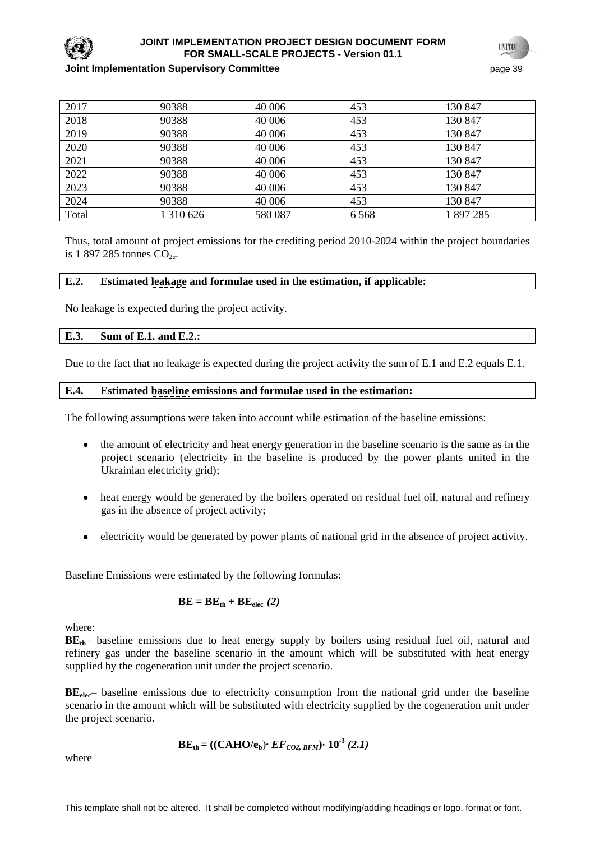

### **JOINT IMPLEMENTATION PROJECT DESIGN DOCUMENT FORM FOR SMALL-SCALE PROJECTS - Version 01.1**

#### **Joint Implementation Supervisory Committee Access 20 and 20 and 20 and 20 and 20 and 20 and 20 and 20 and 39 and 39 and 39 and 39 and 39 and 39 and 39 and 39 and 39 and 39 and 39 and 39 and 39 and 39 and 39 and 39 and 39**

**TNECC** 

| 2017  | 90388     | 40 006  | 453     | 130 847 |
|-------|-----------|---------|---------|---------|
| 2018  | 90388     | 40 006  | 453     | 130 847 |
| 2019  | 90388     | 40 006  | 453     | 130 847 |
| 2020  | 90388     | 40 006  | 453     | 130 847 |
| 2021  | 90388     | 40 006  | 453     | 130 847 |
| 2022  | 90388     | 40 006  | 453     | 130 847 |
| 2023  | 90388     | 40 006  | 453     | 130 847 |
| 2024  | 90388     | 40 006  | 453     | 130 847 |
| Total | 1 310 626 | 580 087 | 6 5 6 8 | 1897285 |

Thus, total amount of project emissions for the crediting period 2010-2024 within the project boundaries is 1 897 285 tonnes  $CO<sub>2e</sub>$ .

#### **E.2. Estimated leakage and formulae used in the estimation, if applicable:**

No leakage is expected during the project activity.

#### **E.3. Sum of E.1. and E.2.:**

Due to the fact that no leakage is expected during the project activity the sum of E.1 and E.2 equals E.1.

#### **E.4. Estimated baseline emissions and formulae used in the estimation:**

The following assumptions were taken into account while estimation of the baseline emissions:

- the amount of electricity and heat energy generation in the baseline scenario is the same as in the project scenario (electricity in the baseline is produced by the power plants united in the Ukrainian electricity grid);
- $\bullet$ heat energy would be generated by the boilers operated on residual fuel oil, natural and refinery gas in the absence of project activity;
- electricity would be generated by power plants of national grid in the absence of project activity.

Baseline Emissions were estimated by the following formulas:

$$
BE = BE_{th} + BE_{elec} (2)
$$

where:

**BE**<sup>th–</sup> baseline emissions due to heat energy supply by boilers using residual fuel oil, natural and refinery gas under the baseline scenario in the amount which will be substituted with heat energy supplied by the cogeneration unit under the project scenario.

**BE**<sub>elec</sub>– baseline emissions due to electricity consumption from the national grid under the baseline scenario in the amount which will be substituted with electricity supplied by the cogeneration unit under the project scenario.

$$
BE_{\text{th}} = ((CAHO/e_{b}) \cdot EF_{CO2, BFM}) \cdot 10^{-3} (2.1)
$$

where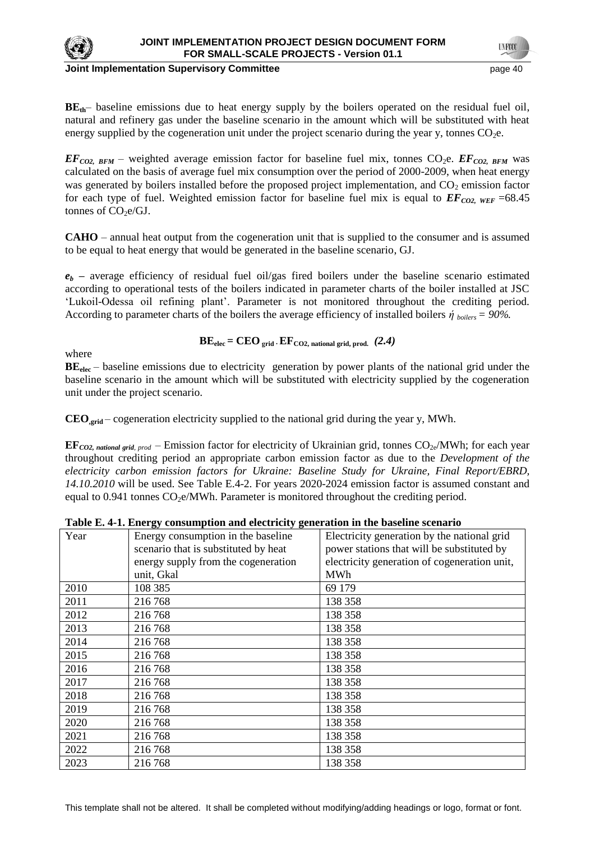

**Joint Implementation Supervisory Committee Committee** *page 40* **page 40</u> page 40** 

**BE**<sup>th–</sup> baseline emissions due to heat energy supply by the boilers operated on the residual fuel oil, natural and refinery gas under the baseline scenario in the amount which will be substituted with heat energy supplied by the cogeneration unit under the project scenario during the year y, tonnes  $CO<sub>2</sub>e$ .

 $EF_{CO2, BFM}$  – weighted average emission factor for baseline fuel mix, tonnes CO<sub>2</sub>e.  $EF_{CO2, BFM}$  was calculated on the basis of average fuel mix consumption over the period of 2000-2009, when heat energy was generated by boilers installed before the proposed project implementation, and  $CO<sub>2</sub>$  emission factor for each type of fuel. Weighted emission factor for baseline fuel mix is equal to  $EF_{CO2, WEF}$  =68.45 tonnes of  $CO<sub>2</sub>e/GJ$ .

**CAHO** – annual heat output from the cogeneration unit that is supplied to the consumer and is assumed to be equal to heat energy that would be generated in the baseline scenario, GJ.

 $e_b$  – average efficiency of residual fuel oil/gas fired boilers under the baseline scenario estimated according to operational tests of the boilers indicated in parameter charts of the boiler installed at JSC ‗Lukoil-Odessa oil refining plant'. Parameter is not monitored throughout the crediting period. According to parameter charts of the boilers the average efficiency of installed boilers  $\dot{\eta}$  *boilers* = 90%.

where

$$
BEelec = CEOgrid · EFCO2, national grid, prod. (2.4)
$$

**BE**<sub>elec</sub> – baseline emissions due to electricity generation by power plants of the national grid under the baseline scenario in the amount which will be substituted with electricity supplied by the cogeneration unit under the project scenario.

**CEO,grid** – cogeneration electricity supplied to the national grid during the year y, MWh.

**EF***CO2, national grid, prod* – Emission factor for electricity of Ukrainian grid, tonnes  $CO_{2e}/MWh$ ; for each year throughout crediting period an appropriate carbon emission factor as due to the *Development of the electricity carbon emission factors for Ukraine: Baseline Study for Ukraine, Final Report/EBRD, 14.10.2010* will be used. See Table E.4-2. For years 2020-2024 emission factor is assumed constant and equal to 0.941 tonnes  $CO<sub>2</sub>e/MWh$ . Parameter is monitored throughout the crediting period.

|      | Table E. 4-1. Elici gy consumption and electricity generation in the baseline scenario |                                              |
|------|----------------------------------------------------------------------------------------|----------------------------------------------|
| Year | Energy consumption in the baseline                                                     | Electricity generation by the national grid  |
|      | scenario that is substituted by heat                                                   | power stations that will be substituted by   |
|      | energy supply from the cogeneration                                                    | electricity generation of cogeneration unit, |
|      | unit, Gkal                                                                             | MWh                                          |
| 2010 | 108 385                                                                                | 69 179                                       |
| 2011 | 216 768                                                                                | 138 358                                      |
| 2012 | 216 768                                                                                | 138 358                                      |
| 2013 | 216 768                                                                                | 138 358                                      |
| 2014 | 216 768                                                                                | 138 358                                      |
| 2015 | 216 768                                                                                | 138 358                                      |
| 2016 | 216768                                                                                 | 138 358                                      |
| 2017 | 216 768                                                                                | 138 358                                      |
| 2018 | 216 768                                                                                | 138 358                                      |
| 2019 | 216768                                                                                 | 138 358                                      |
| 2020 | 216 768                                                                                | 138 358                                      |
| 2021 | 216 768                                                                                | 138 358                                      |
| 2022 | 216 768                                                                                | 138 358                                      |
| 2023 | 216 768                                                                                | 138 358                                      |

| Table E. 4-1. Energy consumption and electricity generation in the baseline scenario |  |
|--------------------------------------------------------------------------------------|--|
|--------------------------------------------------------------------------------------|--|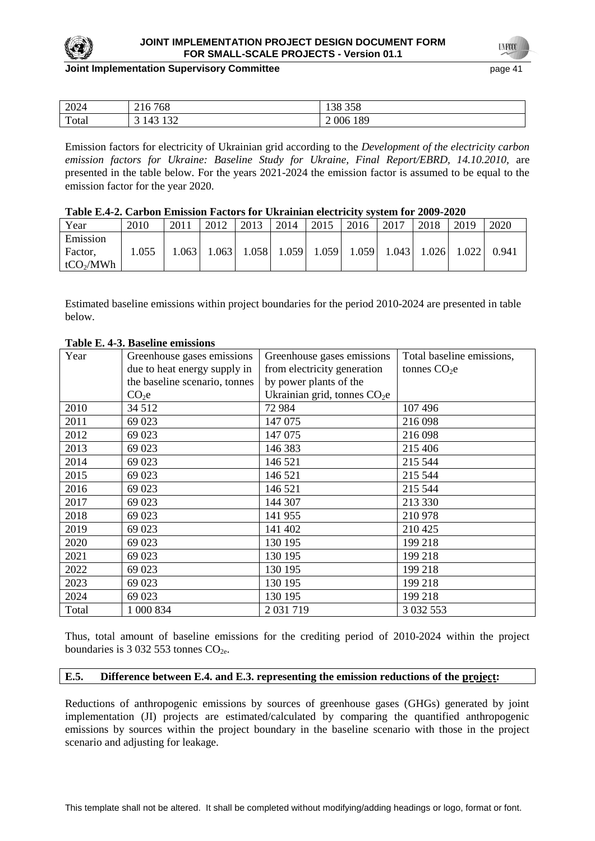

### **JOINT IMPLEMENTATION PROJECT DESIGN DOCUMENT FORM FOR SMALL-SCALE PROJECTS - Version 01.1**

#### **Joint Implementation Supervisory Committee According the Common Committee According to the Constantine Committee According to the Constantine According to the Page 41 of the Constantine According to the Constantine Accord**

**TNFOT** 

| 2024  | 768<br>$\sim$ 1 $\prime$<br>$\angle 10$ ' | 250<br>ററ<br>138 338 |
|-------|-------------------------------------------|----------------------|
| Total | $\sqrt{2}$<br>1 J 4<br>້<br>. .<br>_____  | 189<br>006<br>-      |

Emission factors for electricity of Ukrainian grid according to the *Development of the electricity carbon emission factors for Ukraine: Baseline Study for Ukraine, Final Report/EBRD, 14.10.2010,* are presented in the table below. For the years 2021-2024 the emission factor is assumed to be equal to the emission factor for the year 2020.

| Table E.4-2. Carbon Emission Factors for Ukrainian electricity system for 2009-2020 |  |
|-------------------------------------------------------------------------------------|--|
|-------------------------------------------------------------------------------------|--|

| Year                                         | 2010  | 2011 | 2012  | 2013  | 2014  | 2015  | 2016  | 2017  | 2018  | 2019  | 2020  |
|----------------------------------------------|-------|------|-------|-------|-------|-------|-------|-------|-------|-------|-------|
| Emission<br>Factor,<br>tCO <sub>2</sub> /MWh | 1.055 | .063 | 1.063 | 1.058 | 1.059 | 1.059 | 1.059 | 1.043 | 1.026 | 1.022 | 0.941 |

Estimated baseline emissions within project boundaries for the period 2010-2024 are presented in table below.

| Year  | Greenhouse gases emissions    | Greenhouse gases emissions    | Total baseline emissions, |  |
|-------|-------------------------------|-------------------------------|---------------------------|--|
|       | due to heat energy supply in  | from electricity generation   | tonnes $CO2e$             |  |
|       | the baseline scenario, tonnes | by power plants of the        |                           |  |
|       | CO <sub>2</sub> e             | Ukrainian grid, tonnes $CO2e$ |                           |  |
| 2010  | 34 5 12                       | 72 984                        | 107496                    |  |
| 2011  | 69 023                        | 147 075                       | 216 098                   |  |
| 2012  | 69 023                        | 147 075                       | 216 098                   |  |
| 2013  | 69 023                        | 146 383                       | 215 406                   |  |
| 2014  | 69 023                        | 146 521                       | 215 544                   |  |
| 2015  | 69 023                        | 146 521                       | 215 544                   |  |
| 2016  | 69 023                        | 146 521                       | 215 544                   |  |
| 2017  | 69 023                        | 144 307                       | 213 330                   |  |
| 2018  | 69 023                        | 141 955                       | 210 978                   |  |
| 2019  | 69 023                        | 141 402                       | 210 425                   |  |
| 2020  | 69 023                        | 130 195                       | 199 218                   |  |
| 2021  | 69 023                        | 130 195                       | 199 218                   |  |
| 2022  | 69 023                        | 130 195                       | 199 218                   |  |
| 2023  | 69 023                        | 130 195                       | 199 218                   |  |
| 2024  | 69 023                        | 130 195                       | 199 218                   |  |
| Total | 1 000 834                     | 2 031 719                     | 3 0 3 2 5 5 3             |  |

### **Table E. 4-3. Baseline emissions**

Thus, total amount of baseline emissions for the crediting period of 2010-2024 within the project boundaries is 3 032 553 tonnes  $CO<sub>2e</sub>$ .

### **E.5. Difference between E.4. and E.3. representing the emission reductions of the project:**

Reductions of anthropogenic emissions by sources of greenhouse gases (GHGs) generated by joint implementation (JI) projects are estimated/calculated by comparing the quantified anthropogenic emissions by sources within the project boundary in the baseline scenario with those in the project scenario and adjusting for leakage.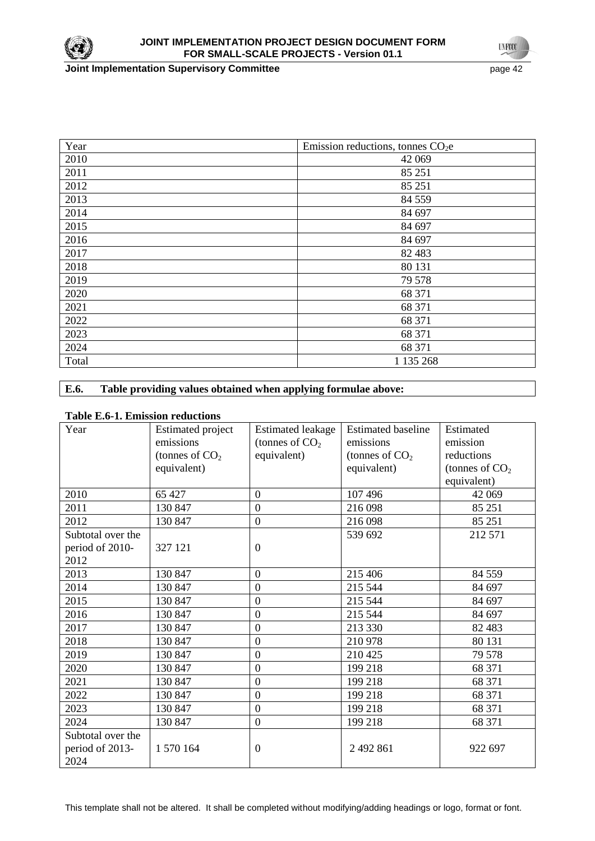

**Joint Implementation Supervisory Committee** page 42

**UNFOCO** 

| Year  | Emission reductions, tonnes $CO2e$ |
|-------|------------------------------------|
| 2010  | 42 069                             |
| 2011  | 85 251                             |
| 2012  | 85 251                             |
| 2013  | 84 5 5 9                           |
| 2014  | 84 697                             |
| 2015  | 84 697                             |
| 2016  | 84 697                             |
| 2017  | 82 4 83                            |
| 2018  | 80 131                             |
| 2019  | 79 578                             |
| 2020  | 68 371                             |
| 2021  | 68 371                             |
| 2022  | 68 371                             |
| 2023  | 68 371                             |
| 2024  | 68 371                             |
| Total | 1 135 268                          |

## **E.6. Table providing values obtained when applying formulae above:**

### **Table E.6-1. Emission reductions**

| Year              | <b>Estimated project</b> | <b>Estimated leakage</b> | <b>Estimated baseline</b> | Estimated        |
|-------------------|--------------------------|--------------------------|---------------------------|------------------|
|                   | emissions                | (tonnes of $CO2$         | emissions                 | emission         |
|                   | (tonnes of $CO2$         | equivalent)              | (tonnes of $CO2$          | reductions       |
|                   | equivalent)              |                          | equivalent)               | (tonnes of $CO2$ |
|                   |                          |                          |                           | equivalent)      |
| 2010              | 65 427                   | $\overline{0}$           | 107 496                   | 42 069           |
| 2011              | 130 847                  | $\overline{0}$           | 216 098                   | 85 25 1          |
| 2012              | 130 847                  | $\overline{0}$           | 216 098                   | 85 25 1          |
| Subtotal over the |                          |                          | 539 692                   | 212 571          |
| period of 2010-   | 327 121                  | $\mathbf{0}$             |                           |                  |
| 2012              |                          |                          |                           |                  |
| 2013              | 130 847                  | $\overline{0}$           | 215 406                   | 84 5 5 9         |
| 2014              | 130 847                  | $\overline{0}$           | 215 544                   | 84 697           |
| 2015              | 130 847                  | $\mathbf{0}$             | 215 544                   | 84 697           |
| 2016              | 130 847                  | $\overline{0}$           | 215 544                   | 84 697           |
| 2017              | 130 847                  | $\mathbf{0}$             | 213 330                   | 82 4 83          |
| 2018              | 130 847                  | $\overline{0}$           | 210 978                   | 80 131           |
| 2019              | 130 847                  | $\boldsymbol{0}$         | 210 425                   | 79 578           |
| 2020              | 130 847                  | $\overline{0}$           | 199 218                   | 68 371           |
| 2021              | 130 847                  | $\mathbf{0}$             | 199 218                   | 68 371           |
| 2022              | 130 847                  | $\mathbf{0}$             | 199 218                   | 68 371           |
| 2023              | 130 847                  | $\overline{0}$           | 199 218                   | 68 371           |
| 2024              | 130 847                  | $\mathbf{0}$             | 199 218                   | 68 371           |
| Subtotal over the |                          |                          |                           |                  |
| period of 2013-   | 1 570 164                | $\boldsymbol{0}$         | 2 492 861                 | 922 697          |
| 2024              |                          |                          |                           |                  |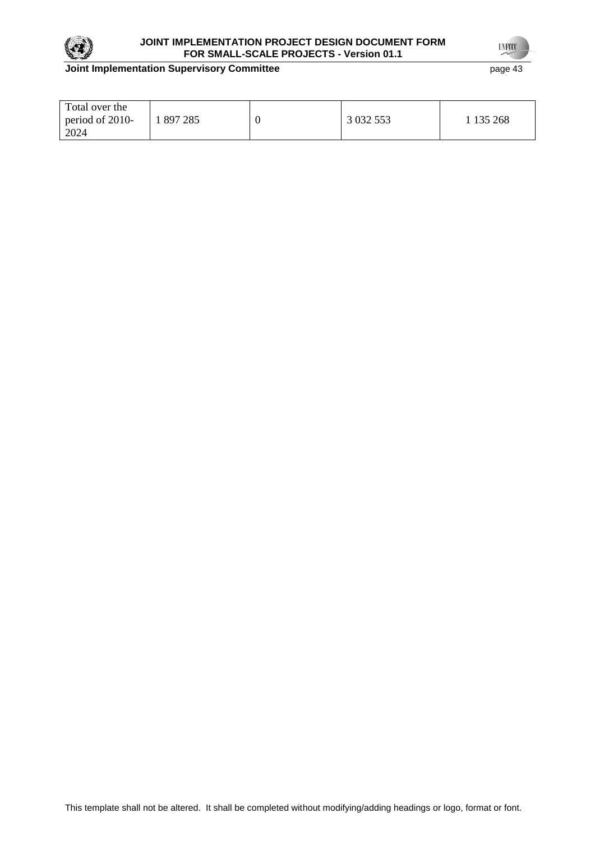

## **JOINT IMPLEMENTATION PROJECT DESIGN DOCUMENT FORM FOR SMALL-SCALE PROJECTS - Version 01.1**

## **Joint Implementation Supervisory Committee** page 43

**UNFOCO** 

| Total over the<br>period of 2010-<br>2024 | l 897 285 |  | 3 0 3 2 5 5 3 | 135 268 |
|-------------------------------------------|-----------|--|---------------|---------|
|-------------------------------------------|-----------|--|---------------|---------|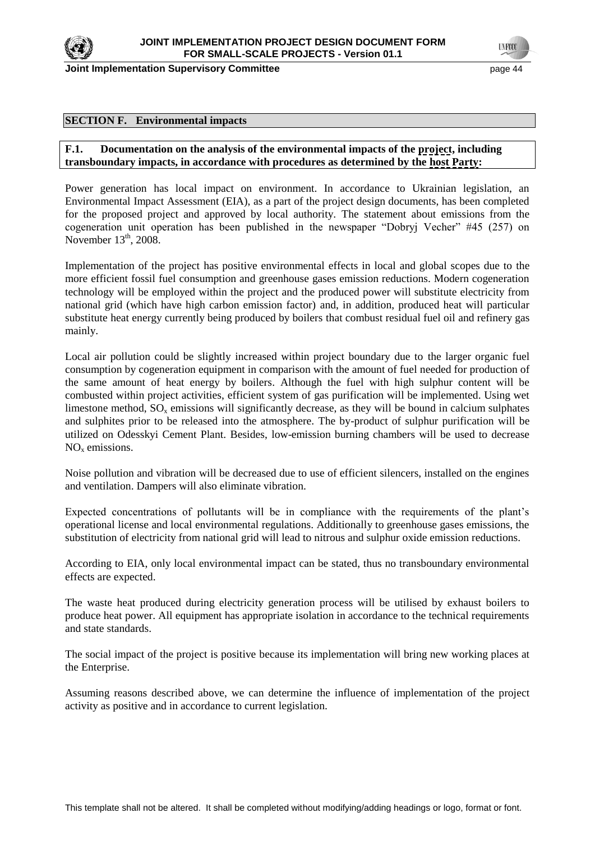

**Joint Implementation Supervisory Committee According the Common Committee According to the Constantine Committee According to the Constantine According to the Page 44 and Taracaster and Taracaster and Taracaster and Tarac** 

**TYFOO** 

#### **SECTION F. Environmental impacts**

## **F.1. Documentation on the analysis of the environmental impacts of the project, including transboundary impacts, in accordance with procedures as determined by the host Party:**

Power generation has local impact on environment. In accordance to Ukrainian legislation, an Environmental Impact Assessment (EIA), as a part of the project design documents, has been completed for the proposed project and approved by local authority. The statement about emissions from the cogeneration unit operation has been published in the newspaper "Dobryj Vecher"  $#45$  (257) on November  $13<sup>th</sup>$ , 2008.

Implementation of the project has positive environmental effects in local and global scopes due to the more efficient fossil fuel consumption and greenhouse gases emission reductions. Modern cogeneration technology will be employed within the project and the produced power will substitute electricity from national grid (which have high carbon emission factor) and, in addition, produced heat will particular substitute heat energy currently being produced by boilers that combust residual fuel oil and refinery gas mainly.

Local air pollution could be slightly increased within project boundary due to the larger organic fuel consumption by cogeneration equipment in comparison with the amount of fuel needed for production of the same amount of heat energy by boilers. Although the fuel with high sulphur content will be combusted within project activities, efficient system of gas purification will be implemented. Using wet limestone method,  $SO_x$  emissions will significantly decrease, as they will be bound in calcium sulphates and sulphites prior to be released into the atmosphere. The by-product of sulphur purification will be utilized on Odesskyi Cement Plant. Besides, low-emission burning chambers will be used to decrease  $NO<sub>x</sub>$  emissions.

Noise pollution and vibration will be decreased due to use of efficient silencers, installed on the engines and ventilation. Dampers will also eliminate vibration.

Expected concentrations of pollutants will be in compliance with the requirements of the plant's operational license and local environmental regulations. Additionally to greenhouse gases emissions, the substitution of electricity from national grid will lead to nitrous and sulphur oxide emission reductions.

According to EIA, only local environmental impact can be stated, thus no transboundary environmental effects are expected.

The waste heat produced during electricity generation process will be utilised by exhaust boilers to produce heat power. All equipment has appropriate isolation in accordance to the technical requirements and state standards.

The social impact of the project is positive because its implementation will bring new working places at the Enterprise.

Assuming reasons described above, we can determine the influence of implementation of the project activity as positive and in accordance to current legislation.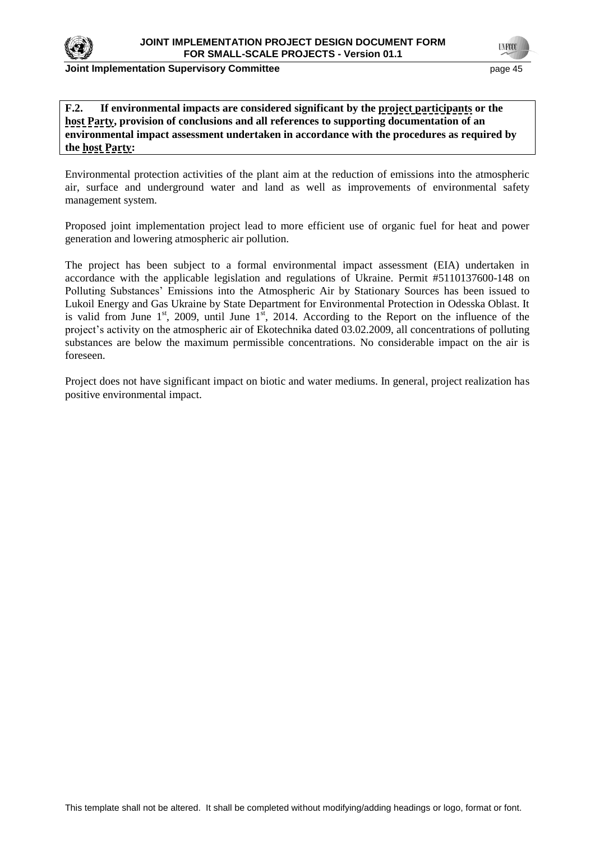

#### **Joint Implementation Supervisory Committee According to the Control of the Control of the Control of the Control of the Page 45**

**TNFOT** 

## **F.2. If environmental impacts are considered significant by the project participants or the host Party, provision of conclusions and all references to supporting documentation of an environmental impact assessment undertaken in accordance with the procedures as required by the host Party:**

Environmental protection activities of the plant aim at the reduction of emissions into the atmospheric air, surface and underground water and land as well as improvements of environmental safety management system.

Proposed joint implementation project lead to more efficient use of organic fuel for heat and power generation and lowering atmospheric air pollution.

The project has been subject to a formal environmental impact assessment (EIA) undertaken in accordance with the applicable legislation and regulations of Ukraine. Permit #5110137600-148 on Polluting Substances' Emissions into the Atmospheric Air by Stationary Sources has been issued to Lukoil Energy and Gas Ukraine by State Department for Environmental Protection in Odesska Oblast. It is valid from June  $1<sup>st</sup>$ , 2009, until June  $1<sup>st</sup>$ , 2014. According to the Report on the influence of the project's activity on the atmospheric air of Ekotechnika dated 03.02.2009, all concentrations of polluting substances are below the maximum permissible concentrations. No considerable impact on the air is foreseen.

Project does not have significant impact on biotic and water mediums. In general, project realization has positive environmental impact.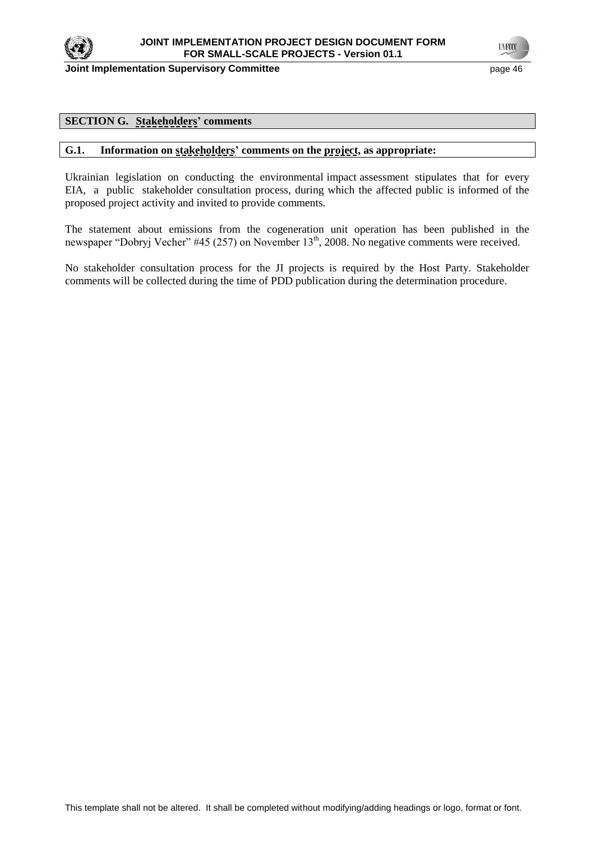

**Joint Implementation Supervisory Committee** *page 46* **page 46** 

### **SECTION G. Stakeholders' comments**

### **G.1. Information on stakeholders' comments on the project, as appropriate:**

Ukrainian legislation on conducting the environmental impact assessment stipulates that for every EIA, a public stakeholder consultation process, during which the affected public is informed of the proposed project activity and invited to provide comments.

The statement about emissions from the cogeneration unit operation has been published in the newspaper "Dobryj Vecher" #45 (257) on November 13<sup>th</sup>, 2008. No negative comments were received.

No stakeholder consultation process for the JI projects is required by the Host Party. Stakeholder comments will be collected during the time of PDD publication during the determination procedure.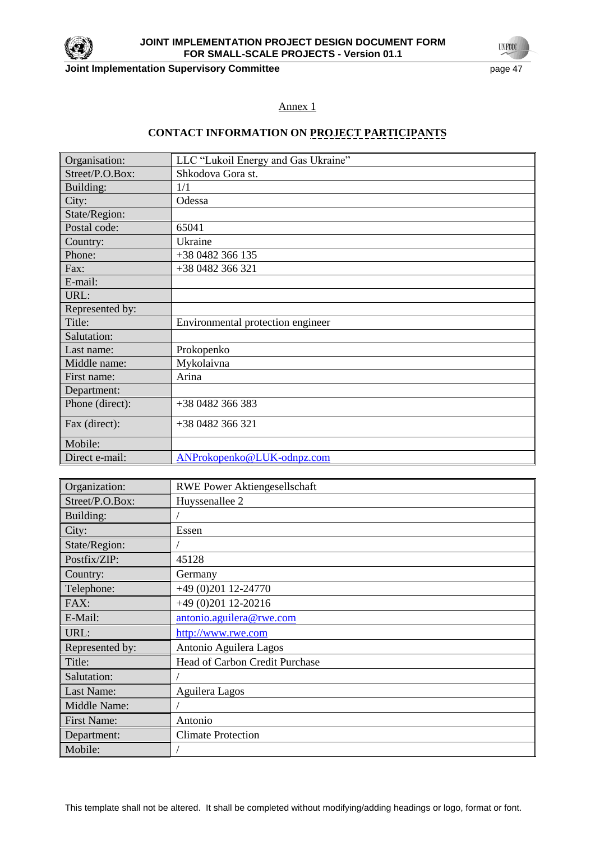

**Joint Implementation Supervisory Committee** *page 47* **page 47** 

**UNFOCO** 

## Annex 1

# **CONTACT INFORMATION ON PROJECT PARTICIPANTS**

| Organisation:   | LLC "Lukoil Energy and Gas Ukraine" |
|-----------------|-------------------------------------|
| Street/P.O.Box: | Shkodova Gora st.                   |
| Building:       | 1/1                                 |
| City:           | Odessa                              |
| State/Region:   |                                     |
| Postal code:    | 65041                               |
| Country:        | Ukraine                             |
| Phone:          | +38 0482 366 135                    |
| Fax:            | +38 0482 366 321                    |
| E-mail:         |                                     |
| URL:            |                                     |
| Represented by: |                                     |
| Title:          | Environmental protection engineer   |
| Salutation:     |                                     |
| Last name:      | Prokopenko                          |
| Middle name:    | Mykolaivna                          |
| First name:     | Arina                               |
| Department:     |                                     |
| Phone (direct): | +38 0482 366 383                    |
| Fax (direct):   | +38 0482 366 321                    |
| Mobile:         |                                     |
| Direct e-mail:  | ANProkopenko@LUK-odnpz.com          |

| Organization:      | <b>RWE Power Aktiongesellschaft</b> |
|--------------------|-------------------------------------|
| Street/P.O.Box:    | Huyssenallee 2                      |
| Building:          |                                     |
| City:              | Essen                               |
| State/Region:      |                                     |
| Postfix/ZIP:       | 45128                               |
| Country:           | Germany                             |
| Telephone:         | +49 (0)201 12-24770                 |
| FAX:               | $+49(0)20112-20216$                 |
| E-Mail:            | antonio.aguilera@rwe.com            |
| URL:               | http://www.rwe.com                  |
| Represented by:    | Antonio Aguilera Lagos              |
| Title:             | Head of Carbon Credit Purchase      |
| Salutation:        |                                     |
| Last Name:         | Aguilera Lagos                      |
| Middle Name:       |                                     |
| <b>First Name:</b> | Antonio                             |
| Department:        | <b>Climate Protection</b>           |
| Mobile:            |                                     |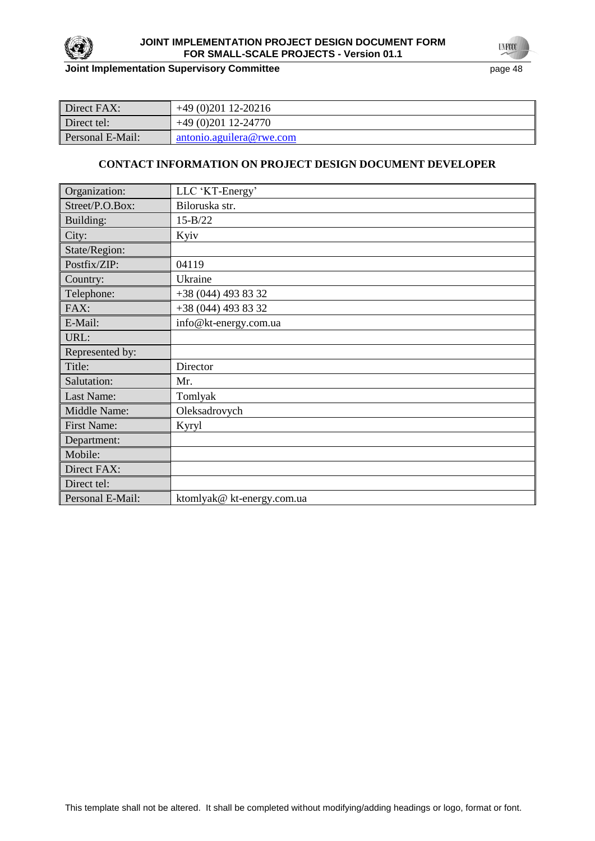

## **JOINT IMPLEMENTATION PROJECT DESIGN DOCUMENT FORM FOR SMALL-SCALE PROJECTS - Version 01.1**

## **Joint Implementation Supervisory Committee** page 48

| Direct FAX:      | $+49(0)20112-20216$      |
|------------------|--------------------------|
| Direct tel:      | $+49(0)20112-24770$      |
| Personal E-Mail: | antonio.aguilera@rwe.com |

## **CONTACT INFORMATION ON PROJECT DESIGN DOCUMENT DEVELOPER**

| Organization:      | LLC 'KT-Energy'            |
|--------------------|----------------------------|
| Street/P.O.Box:    | Biloruska str.             |
| Building:          | $15 - B/22$                |
| City:              | Kyiv                       |
| State/Region:      |                            |
| Postfix/ZIP:       | 04119                      |
| Country:           | Ukraine                    |
| Telephone:         | +38 (044) 493 83 32        |
| FAX:               | +38 (044) 493 83 32        |
| E-Mail:            | info@kt-energy.com.ua      |
| URL:               |                            |
| Represented by:    |                            |
| Title:             | Director                   |
| Salutation:        | Mr.                        |
| Last Name:         | Tomlyak                    |
| Middle Name:       | Oleksadrovych              |
| <b>First Name:</b> | <b>Kyryl</b>               |
| Department:        |                            |
| Mobile:            |                            |
| Direct FAX:        |                            |
| Direct tel:        |                            |
| Personal E-Mail:   | ktomlyak@ kt-energy.com.ua |